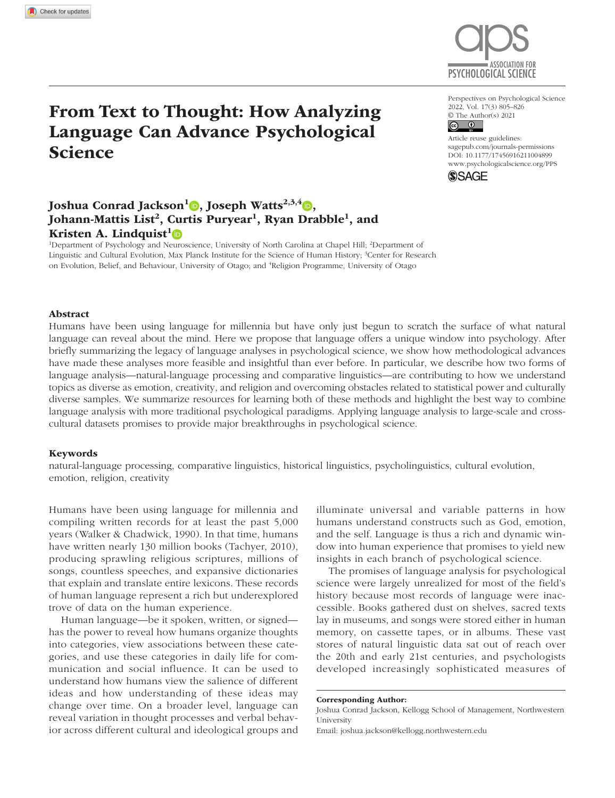

# ASSOCIATION FOR PSYCHOLOGICAL SCIENCE

Perspectives on Psychological Science 2022, Vol. 17(3) 805–826  $\circledcirc$  The Author(s) 2021

Affluct Fuse guidentes.<br>[sagepub.com/journals-permissions](https://us.sagepub.com/en-us/journals-permissions) Article reuse guidelines: DOI: 10.1177/17456916211004899 [www.psychologicalscience.org/PPS](http://www.psychologicalscience.org/pps)



# Joshua Conrad Jackson<sup>1</sup> , Joseph Watts<sup>2,3,4</sup> , Johann-Mattis List<sup>2</sup>, Curtis Puryear<sup>1</sup>, Ryan Drabble<sup>1</sup>, and Kristen A. Lindquist<sup>1</sup><sup>®</sup>

<sup>1</sup>Department of Psychology and Neuroscience, University of North Carolina at Chapel Hill; <sup>2</sup>Department of Linguistic and Cultural Evolution, Max Planck Institute for the Science of Human History; <sup>3</sup>Center for Research on Evolution, Belief, and Behaviour, University of Otago; and <sup>4</sup>Religion Programme, University of Otago

#### Abstract

Humans have been using language for millennia but have only just begun to scratch the surface of what natural language can reveal about the mind. Here we propose that language offers a unique window into psychology. After briefly summarizing the legacy of language analyses in psychological science, we show how methodological advances have made these analyses more feasible and insightful than ever before. In particular, we describe how two forms of language analysis—natural-language processing and comparative linguistics—are contributing to how we understand topics as diverse as emotion, creativity, and religion and overcoming obstacles related to statistical power and culturally diverse samples. We summarize resources for learning both of these methods and highlight the best way to combine language analysis with more traditional psychological paradigms. Applying language analysis to large-scale and crosscultural datasets promises to provide major breakthroughs in psychological science.

#### Keywords

natural-language processing, comparative linguistics, historical linguistics, psycholinguistics, cultural evolution, emotion, religion, creativity

Humans have been using language for millennia and compiling written records for at least the past 5,000 years (Walker & Chadwick, 1990). In that time, humans have written nearly 130 million books (Tachyer, 2010), producing sprawling religious scriptures, millions of songs, countless speeches, and expansive dictionaries that explain and translate entire lexicons. These records of human language represent a rich but underexplored trove of data on the human experience.

Human language—be it spoken, written, or signed has the power to reveal how humans organize thoughts into categories, view associations between these categories, and use these categories in daily life for communication and social influence. It can be used to understand how humans view the salience of different ideas and how understanding of these ideas may change over time. On a broader level, language can reveal variation in thought processes and verbal behavior across different cultural and ideological groups and illuminate universal and variable patterns in how humans understand constructs such as God, emotion, and the self. Language is thus a rich and dynamic window into human experience that promises to yield new insights in each branch of psychological science.

The promises of language analysis for psychological science were largely unrealized for most of the field's history because most records of language were inaccessible. Books gathered dust on shelves, sacred texts lay in museums, and songs were stored either in human memory, on cassette tapes, or in albums. These vast stores of natural linguistic data sat out of reach over the 20th and early 21st centuries, and psychologists developed increasingly sophisticated measures of

#### Corresponding Author:

Joshua Conrad Jackson, Kellogg School of Management, Northwestern University

Email: [joshua.jackson@kellogg.northwestern.edu](mailto:joshua.jackson@kellogg.northwestern.edu)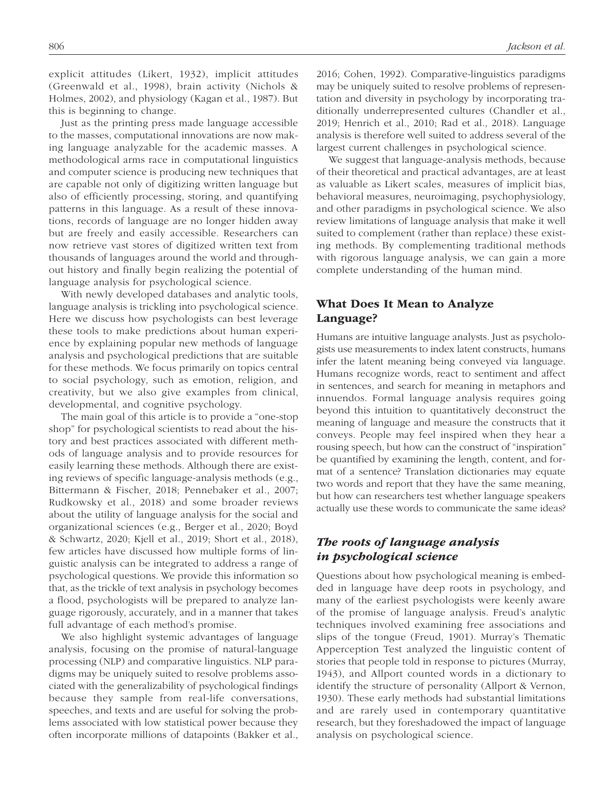explicit attitudes (Likert, 1932), implicit attitudes (Greenwald et al., 1998), brain activity (Nichols & Holmes, 2002), and physiology (Kagan et al., 1987). But this is beginning to change.

Just as the printing press made language accessible to the masses, computational innovations are now making language analyzable for the academic masses. A methodological arms race in computational linguistics and computer science is producing new techniques that are capable not only of digitizing written language but also of efficiently processing, storing, and quantifying patterns in this language. As a result of these innovations, records of language are no longer hidden away but are freely and easily accessible. Researchers can now retrieve vast stores of digitized written text from thousands of languages around the world and throughout history and finally begin realizing the potential of language analysis for psychological science.

With newly developed databases and analytic tools, language analysis is trickling into psychological science. Here we discuss how psychologists can best leverage these tools to make predictions about human experience by explaining popular new methods of language analysis and psychological predictions that are suitable for these methods. We focus primarily on topics central to social psychology, such as emotion, religion, and creativity, but we also give examples from clinical, developmental, and cognitive psychology.

The main goal of this article is to provide a "one-stop shop" for psychological scientists to read about the history and best practices associated with different methods of language analysis and to provide resources for easily learning these methods. Although there are existing reviews of specific language-analysis methods (e.g., Bittermann & Fischer, 2018; Pennebaker et al., 2007; Rudkowsky et al., 2018) and some broader reviews about the utility of language analysis for the social and organizational sciences (e.g., Berger et al., 2020; Boyd & Schwartz, 2020; Kjell et al., 2019; Short et al., 2018), few articles have discussed how multiple forms of linguistic analysis can be integrated to address a range of psychological questions. We provide this information so that, as the trickle of text analysis in psychology becomes a flood, psychologists will be prepared to analyze language rigorously, accurately, and in a manner that takes full advantage of each method's promise.

We also highlight systemic advantages of language analysis, focusing on the promise of natural-language processing (NLP) and comparative linguistics. NLP paradigms may be uniquely suited to resolve problems associated with the generalizability of psychological findings because they sample from real-life conversations, speeches, and texts and are useful for solving the problems associated with low statistical power because they often incorporate millions of datapoints (Bakker et al., 2016; Cohen, 1992). Comparative-linguistics paradigms may be uniquely suited to resolve problems of representation and diversity in psychology by incorporating traditionally underrepresented cultures (Chandler et al., 2019; Henrich et al., 2010; Rad et al., 2018). Language analysis is therefore well suited to address several of the largest current challenges in psychological science.

We suggest that language-analysis methods, because of their theoretical and practical advantages, are at least as valuable as Likert scales, measures of implicit bias, behavioral measures, neuroimaging, psychophysiology, and other paradigms in psychological science. We also review limitations of language analysis that make it well suited to complement (rather than replace) these existing methods. By complementing traditional methods with rigorous language analysis, we can gain a more complete understanding of the human mind.

## What Does It Mean to Analyze Language?

Humans are intuitive language analysts. Just as psychologists use measurements to index latent constructs, humans infer the latent meaning being conveyed via language. Humans recognize words, react to sentiment and affect in sentences, and search for meaning in metaphors and innuendos. Formal language analysis requires going beyond this intuition to quantitatively deconstruct the meaning of language and measure the constructs that it conveys. People may feel inspired when they hear a rousing speech, but how can the construct of "inspiration" be quantified by examining the length, content, and format of a sentence? Translation dictionaries may equate two words and report that they have the same meaning, but how can researchers test whether language speakers actually use these words to communicate the same ideas?

## *The roots of language analysis in psychological science*

Questions about how psychological meaning is embedded in language have deep roots in psychology, and many of the earliest psychologists were keenly aware of the promise of language analysis. Freud's analytic techniques involved examining free associations and slips of the tongue (Freud, 1901). Murray's Thematic Apperception Test analyzed the linguistic content of stories that people told in response to pictures (Murray, 1943), and Allport counted words in a dictionary to identify the structure of personality (Allport & Vernon, 1930). These early methods had substantial limitations and are rarely used in contemporary quantitative research, but they foreshadowed the impact of language analysis on psychological science.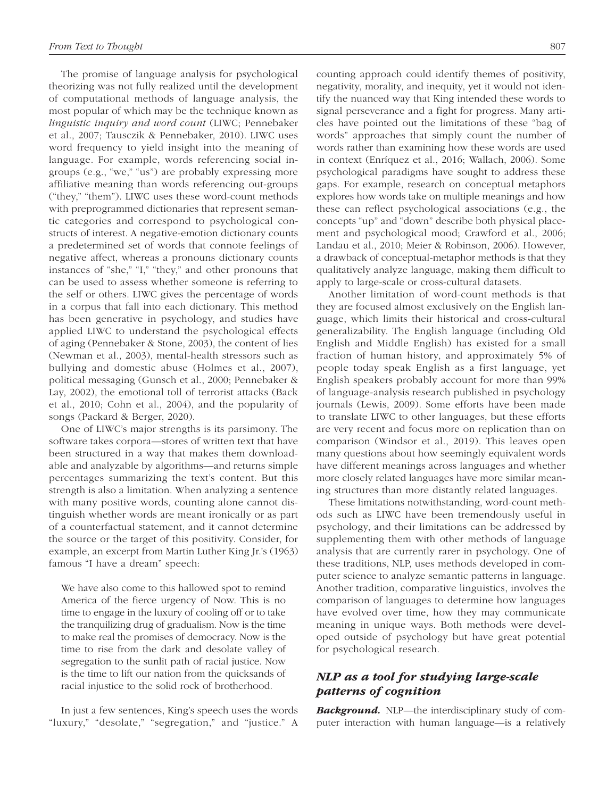The promise of language analysis for psychological theorizing was not fully realized until the development of computational methods of language analysis, the most popular of which may be the technique known as *linguistic inquiry and word count* (LIWC; Pennebaker et al., 2007; Tausczik & Pennebaker, 2010). LIWC uses word frequency to yield insight into the meaning of language. For example, words referencing social ingroups (e.g., "we," "us") are probably expressing more affiliative meaning than words referencing out-groups ("they," "them"). LIWC uses these word-count methods with preprogrammed dictionaries that represent semantic categories and correspond to psychological constructs of interest. A negative-emotion dictionary counts a predetermined set of words that connote feelings of negative affect, whereas a pronouns dictionary counts instances of "she," "I," "they," and other pronouns that can be used to assess whether someone is referring to the self or others. LIWC gives the percentage of words in a corpus that fall into each dictionary. This method has been generative in psychology, and studies have applied LIWC to understand the psychological effects of aging (Pennebaker & Stone, 2003), the content of lies (Newman et al., 2003), mental-health stressors such as bullying and domestic abuse (Holmes et al., 2007), political messaging (Gunsch et al., 2000; Pennebaker & Lay, 2002), the emotional toll of terrorist attacks (Back et al., 2010; Cohn et al., 2004), and the popularity of songs (Packard & Berger, 2020).

One of LIWC's major strengths is its parsimony. The software takes corpora—stores of written text that have been structured in a way that makes them downloadable and analyzable by algorithms—and returns simple percentages summarizing the text's content. But this strength is also a limitation. When analyzing a sentence with many positive words, counting alone cannot distinguish whether words are meant ironically or as part of a counterfactual statement, and it cannot determine the source or the target of this positivity. Consider, for example, an excerpt from Martin Luther King Jr.'s (1963) famous "I have a dream" speech:

We have also come to this hallowed spot to remind America of the fierce urgency of Now. This is no time to engage in the luxury of cooling off or to take the tranquilizing drug of gradualism. Now is the time to make real the promises of democracy. Now is the time to rise from the dark and desolate valley of segregation to the sunlit path of racial justice. Now is the time to lift our nation from the quicksands of racial injustice to the solid rock of brotherhood.

In just a few sentences, King's speech uses the words "luxury," "desolate," "segregation," and "justice." A counting approach could identify themes of positivity, negativity, morality, and inequity, yet it would not identify the nuanced way that King intended these words to signal perseverance and a fight for progress. Many articles have pointed out the limitations of these "bag of words" approaches that simply count the number of words rather than examining how these words are used in context (Enríquez et al., 2016; Wallach, 2006). Some psychological paradigms have sought to address these gaps. For example, research on conceptual metaphors explores how words take on multiple meanings and how these can reflect psychological associations (e.g., the concepts "up" and "down" describe both physical placement and psychological mood; Crawford et al., 2006; Landau et al., 2010; Meier & Robinson, 2006). However, a drawback of conceptual-metaphor methods is that they qualitatively analyze language, making them difficult to apply to large-scale or cross-cultural datasets.

Another limitation of word-count methods is that they are focused almost exclusively on the English language, which limits their historical and cross-cultural generalizability. The English language (including Old English and Middle English) has existed for a small fraction of human history, and approximately 5% of people today speak English as a first language, yet English speakers probably account for more than 99% of language-analysis research published in psychology journals (Lewis, 2009). Some efforts have been made to translate LIWC to other languages, but these efforts are very recent and focus more on replication than on comparison (Windsor et al., 2019). This leaves open many questions about how seemingly equivalent words have different meanings across languages and whether more closely related languages have more similar meaning structures than more distantly related languages.

These limitations notwithstanding, word-count methods such as LIWC have been tremendously useful in psychology, and their limitations can be addressed by supplementing them with other methods of language analysis that are currently rarer in psychology. One of these traditions, NLP, uses methods developed in computer science to analyze semantic patterns in language. Another tradition, comparative linguistics, involves the comparison of languages to determine how languages have evolved over time, how they may communicate meaning in unique ways. Both methods were developed outside of psychology but have great potential for psychological research.

# *NLP as a tool for studying large-scale patterns of cognition*

*Background.* NLP—the interdisciplinary study of computer interaction with human language—is a relatively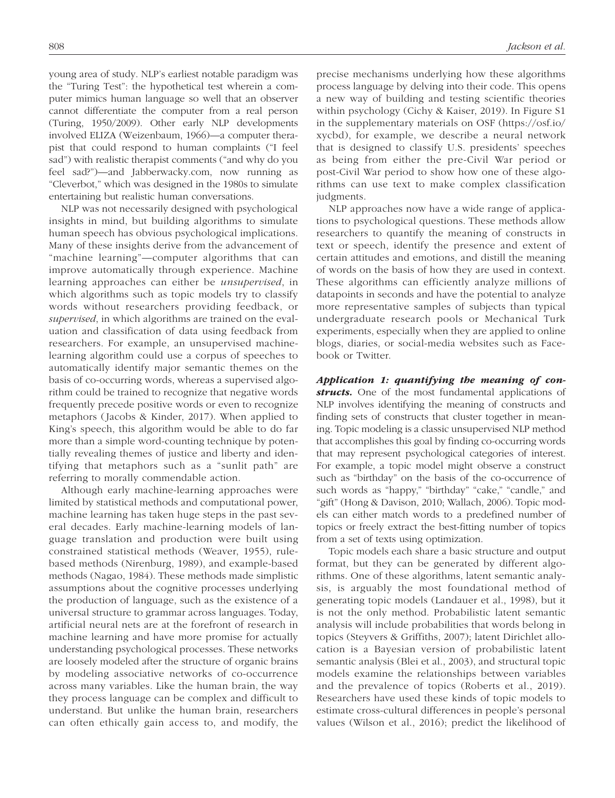young area of study. NLP's earliest notable paradigm was the "Turing Test": the hypothetical test wherein a computer mimics human language so well that an observer cannot differentiate the computer from a real person (Turing, 1950/2009). Other early NLP developments involved ELIZA (Weizenbaum, 1966)—a computer therapist that could respond to human complaints ("I feel sad") with realistic therapist comments ("and why do you feel sad?")—and Jabberwacky.com, now running as "Cleverbot," which was designed in the 1980s to simulate entertaining but realistic human conversations.

NLP was not necessarily designed with psychological insights in mind, but building algorithms to simulate human speech has obvious psychological implications. Many of these insights derive from the advancement of "machine learning"—computer algorithms that can improve automatically through experience. Machine learning approaches can either be *unsupervised*, in which algorithms such as topic models try to classify words without researchers providing feedback, or *supervised*, in which algorithms are trained on the evaluation and classification of data using feedback from researchers. For example, an unsupervised machinelearning algorithm could use a corpus of speeches to automatically identify major semantic themes on the basis of co-occurring words, whereas a supervised algorithm could be trained to recognize that negative words frequently precede positive words or even to recognize metaphors (Jacobs & Kinder, 2017). When applied to King's speech, this algorithm would be able to do far more than a simple word-counting technique by potentially revealing themes of justice and liberty and identifying that metaphors such as a "sunlit path" are referring to morally commendable action.

Although early machine-learning approaches were limited by statistical methods and computational power, machine learning has taken huge steps in the past several decades. Early machine-learning models of language translation and production were built using constrained statistical methods (Weaver, 1955), rulebased methods (Nirenburg, 1989), and example-based methods (Nagao, 1984). These methods made simplistic assumptions about the cognitive processes underlying the production of language, such as the existence of a universal structure to grammar across languages. Today, artificial neural nets are at the forefront of research in machine learning and have more promise for actually understanding psychological processes. These networks are loosely modeled after the structure of organic brains by modeling associative networks of co-occurrence across many variables. Like the human brain, the way they process language can be complex and difficult to understand. But unlike the human brain, researchers can often ethically gain access to, and modify, the precise mechanisms underlying how these algorithms process language by delving into their code. This opens a new way of building and testing scientific theories within psychology (Cichy & Kaiser, 2019). In Figure S1 in the supplementary materials on OSF ([https://osf.io/](https://osf.io/xycbd) [xycbd](https://osf.io/xycbd)), for example, we describe a neural network that is designed to classify U.S. presidents' speeches as being from either the pre-Civil War period or post-Civil War period to show how one of these algorithms can use text to make complex classification judgments.

NLP approaches now have a wide range of applications to psychological questions. These methods allow researchers to quantify the meaning of constructs in text or speech, identify the presence and extent of certain attitudes and emotions, and distill the meaning of words on the basis of how they are used in context. These algorithms can efficiently analyze millions of datapoints in seconds and have the potential to analyze more representative samples of subjects than typical undergraduate research pools or Mechanical Turk experiments, especially when they are applied to online blogs, diaries, or social-media websites such as Facebook or Twitter.

*Application 1: quantifying the meaning of constructs.* One of the most fundamental applications of NLP involves identifying the meaning of constructs and finding sets of constructs that cluster together in meaning. Topic modeling is a classic unsupervised NLP method that accomplishes this goal by finding co-occurring words that may represent psychological categories of interest. For example, a topic model might observe a construct such as "birthday" on the basis of the co-occurrence of such words as "happy," "birthday" "cake," "candle," and "gift" (Hong & Davison, 2010; Wallach, 2006). Topic models can either match words to a predefined number of topics or freely extract the best-fitting number of topics from a set of texts using optimization.

Topic models each share a basic structure and output format, but they can be generated by different algorithms. One of these algorithms, latent semantic analysis, is arguably the most foundational method of generating topic models (Landauer et al., 1998), but it is not the only method. Probabilistic latent semantic analysis will include probabilities that words belong in topics (Steyvers & Griffiths, 2007); latent Dirichlet allocation is a Bayesian version of probabilistic latent semantic analysis (Blei et al., 2003), and structural topic models examine the relationships between variables and the prevalence of topics (Roberts et al., 2019). Researchers have used these kinds of topic models to estimate cross-cultural differences in people's personal values (Wilson et al., 2016); predict the likelihood of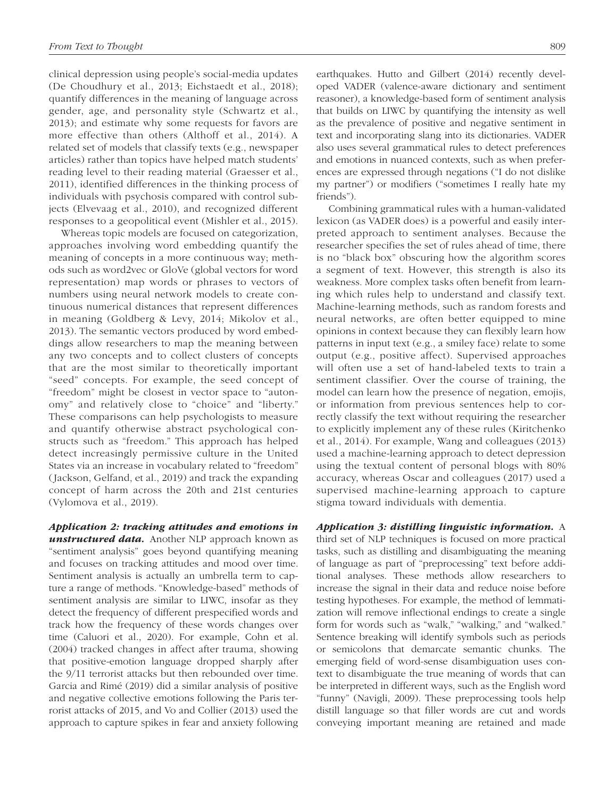clinical depression using people's social-media updates (De Choudhury et al., 2013; Eichstaedt et al., 2018); quantify differences in the meaning of language across gender, age, and personality style (Schwartz et al., 2013); and estimate why some requests for favors are more effective than others (Althoff et al., 2014). A related set of models that classify texts (e.g., newspaper articles) rather than topics have helped match students' reading level to their reading material (Graesser et al., 2011), identified differences in the thinking process of individuals with psychosis compared with control subjects (Elvevaag et al., 2010), and recognized different responses to a geopolitical event (Mishler et al., 2015).

Whereas topic models are focused on categorization, approaches involving word embedding quantify the meaning of concepts in a more continuous way; methods such as word2vec or GloVe (global vectors for word representation) map words or phrases to vectors of numbers using neural network models to create continuous numerical distances that represent differences in meaning (Goldberg & Levy, 2014; Mikolov et al., 2013). The semantic vectors produced by word embeddings allow researchers to map the meaning between any two concepts and to collect clusters of concepts that are the most similar to theoretically important "seed" concepts. For example, the seed concept of "freedom" might be closest in vector space to "autonomy" and relatively close to "choice" and "liberty." These comparisons can help psychologists to measure and quantify otherwise abstract psychological constructs such as "freedom." This approach has helped detect increasingly permissive culture in the United States via an increase in vocabulary related to "freedom" (Jackson, Gelfand, et al., 2019) and track the expanding concept of harm across the 20th and 21st centuries (Vylomova et al., 2019).

*Application 2: tracking attitudes and emotions in unstructured data.* Another NLP approach known as "sentiment analysis" goes beyond quantifying meaning and focuses on tracking attitudes and mood over time. Sentiment analysis is actually an umbrella term to capture a range of methods. "Knowledge-based" methods of sentiment analysis are similar to LIWC, insofar as they detect the frequency of different prespecified words and track how the frequency of these words changes over time (Caluori et al., 2020). For example, Cohn et al. (2004) tracked changes in affect after trauma, showing that positive-emotion language dropped sharply after the 9/11 terrorist attacks but then rebounded over time. Garcia and Rimé (2019) did a similar analysis of positive and negative collective emotions following the Paris terrorist attacks of 2015, and Vo and Collier (2013) used the approach to capture spikes in fear and anxiety following earthquakes. Hutto and Gilbert (2014) recently developed VADER (valence-aware dictionary and sentiment reasoner), a knowledge-based form of sentiment analysis that builds on LIWC by quantifying the intensity as well as the prevalence of positive and negative sentiment in text and incorporating slang into its dictionaries. VADER also uses several grammatical rules to detect preferences and emotions in nuanced contexts, such as when preferences are expressed through negations ("I do not dislike my partner") or modifiers ("sometimes I really hate my friends").

Combining grammatical rules with a human-validated lexicon (as VADER does) is a powerful and easily interpreted approach to sentiment analyses. Because the researcher specifies the set of rules ahead of time, there is no "black box" obscuring how the algorithm scores a segment of text. However, this strength is also its weakness. More complex tasks often benefit from learning which rules help to understand and classify text. Machine-learning methods, such as random forests and neural networks, are often better equipped to mine opinions in context because they can flexibly learn how patterns in input text (e.g., a smiley face) relate to some output (e.g., positive affect). Supervised approaches will often use a set of hand-labeled texts to train a sentiment classifier. Over the course of training, the model can learn how the presence of negation, emojis, or information from previous sentences help to correctly classify the text without requiring the researcher to explicitly implement any of these rules (Kiritchenko et al., 2014). For example, Wang and colleagues (2013) used a machine-learning approach to detect depression using the textual content of personal blogs with 80% accuracy, whereas Oscar and colleagues (2017) used a supervised machine-learning approach to capture stigma toward individuals with dementia.

*Application 3: distilling linguistic information.* A third set of NLP techniques is focused on more practical tasks, such as distilling and disambiguating the meaning of language as part of "preprocessing" text before additional analyses. These methods allow researchers to increase the signal in their data and reduce noise before testing hypotheses. For example, the method of lemmatization will remove inflectional endings to create a single form for words such as "walk," "walking," and "walked." Sentence breaking will identify symbols such as periods or semicolons that demarcate semantic chunks. The emerging field of word-sense disambiguation uses context to disambiguate the true meaning of words that can be interpreted in different ways, such as the English word "funny" (Navigli, 2009). These preprocessing tools help distill language so that filler words are cut and words conveying important meaning are retained and made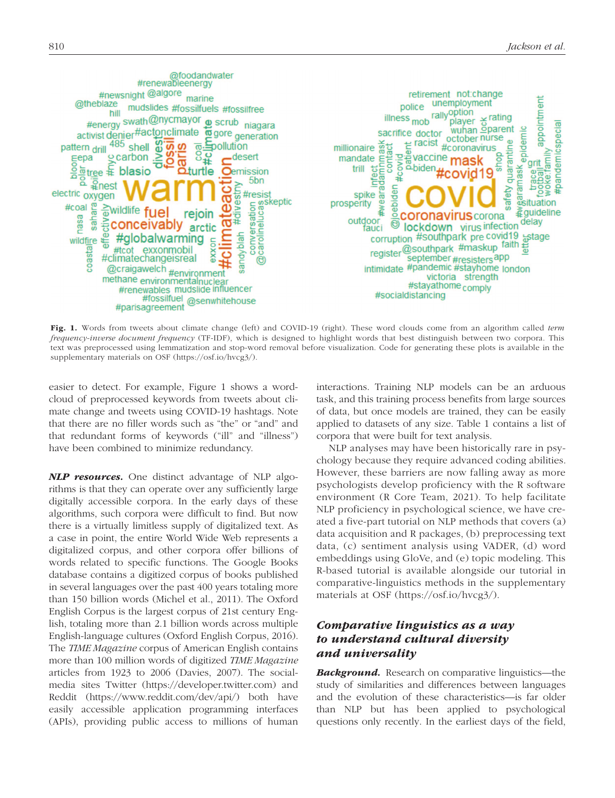

Fig. 1. Words from tweets about climate change (left) and COVID-19 (right). These word clouds come from an algorithm called *term frequency-inverse document frequency* (TF-IDF), which is designed to highlight words that best distinguish between two corpora. This text was preprocessed using lemmatization and stop-word removal before visualization. Code for generating these plots is available in the supplementary materials on OSF ([https://osf.io/hvcg3/\)](https://osf.io/hvcg3/).

easier to detect. For example, Figure 1 shows a wordcloud of preprocessed keywords from tweets about climate change and tweets using COVID-19 hashtags. Note that there are no filler words such as "the" or "and" and that redundant forms of keywords ("ill" and "illness") have been combined to minimize redundancy.

*NLP resources.* One distinct advantage of NLP algorithms is that they can operate over any sufficiently large digitally accessible corpora. In the early days of these algorithms, such corpora were difficult to find. But now there is a virtually limitless supply of digitalized text. As a case in point, the entire World Wide Web represents a digitalized corpus, and other corpora offer billions of words related to specific functions. The Google Books database contains a digitized corpus of books published in several languages over the past 400 years totaling more than 150 billion words (Michel et al., 2011). The Oxford English Corpus is the largest corpus of 21st century English, totaling more than 2.1 billion words across multiple English-language cultures (Oxford English Corpus, 2016). The *TIME Magazine* corpus of American English contains more than 100 million words of digitized *TIME Magazine* articles from 1923 to 2006 (Davies, 2007). The socialmedia sites Twitter [\(https://developer.twitter.com](https://developer.twitter.com)) and Reddit (<https://www.reddit.com/dev/api/>) both have easily accessible application programming interfaces (APIs), providing public access to millions of human interactions. Training NLP models can be an arduous task, and this training process benefits from large sources of data, but once models are trained, they can be easily applied to datasets of any size. Table 1 contains a list of corpora that were built for text analysis.

NLP analyses may have been historically rare in psychology because they require advanced coding abilities. However, these barriers are now falling away as more psychologists develop proficiency with the R software environment (R Core Team, 2021). To help facilitate NLP proficiency in psychological science, we have created a five-part tutorial on NLP methods that covers (a) data acquisition and R packages, (b) preprocessing text data, (c) sentiment analysis using VADER, (d) word embeddings using GloVe, and (e) topic modeling. This R-based tutorial is available alongside our tutorial in comparative-linguistics methods in the supplementary materials at OSF [\(https://osf.io/hvcg3/\)](https://osf.io/hvcg3/).

# *Comparative linguistics as a way to understand cultural diversity and universality*

*Background.* Research on comparative linguistics—the study of similarities and differences between languages and the evolution of these characteristics—is far older than NLP but has been applied to psychological questions only recently. In the earliest days of the field,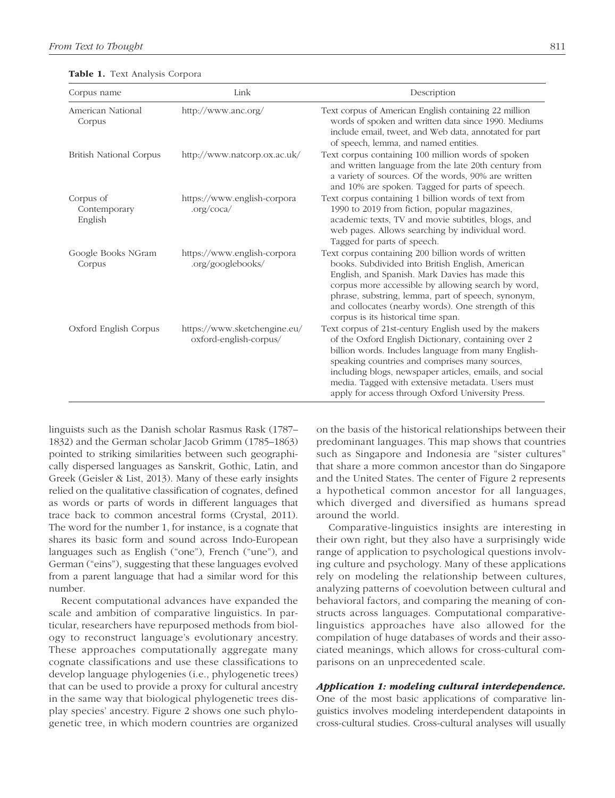| Corpus name                          | Link                                                   | Description                                                                                                                                                                                                                                                                                                                                                                                 |
|--------------------------------------|--------------------------------------------------------|---------------------------------------------------------------------------------------------------------------------------------------------------------------------------------------------------------------------------------------------------------------------------------------------------------------------------------------------------------------------------------------------|
| American National<br>Corpus          | http://www.anc.org/                                    | Text corpus of American English containing 22 million<br>words of spoken and written data since 1990. Mediums<br>include email, tweet, and Web data, annotated for part<br>of speech, lemma, and named entities.                                                                                                                                                                            |
| <b>British National Corpus</b>       | http://www.natcorp.ox.ac.uk/                           | Text corpus containing 100 million words of spoken<br>and written language from the late 20th century from<br>a variety of sources. Of the words, 90% are written<br>and 10% are spoken. Tagged for parts of speech.                                                                                                                                                                        |
| Corpus of<br>Contemporary<br>English | https://www.english-corpora<br>.org/coca/              | Text corpus containing 1 billion words of text from<br>1990 to 2019 from fiction, popular magazines,<br>academic texts, TV and movie subtitles, blogs, and<br>web pages. Allows searching by individual word.<br>Tagged for parts of speech.                                                                                                                                                |
| Google Books NGram<br>Corpus         | https://www.english-corpora<br>.org/googlebooks/       | Text corpus containing 200 billion words of written<br>books. Subdivided into British English, American<br>English, and Spanish. Mark Davies has made this<br>corpus more accessible by allowing search by word,<br>phrase, substring, lemma, part of speech, synonym,<br>and collocates (nearby words). One strength of this<br>corpus is its historical time span.                        |
| Oxford English Corpus                | https://www.sketchengine.eu/<br>oxford-english-corpus/ | Text corpus of 21st-century English used by the makers<br>of the Oxford English Dictionary, containing over 2<br>billion words. Includes language from many English-<br>speaking countries and comprises many sources,<br>including blogs, newspaper articles, emails, and social<br>media. Tagged with extensive metadata. Users must<br>apply for access through Oxford University Press. |

Table 1. Text Analysis Corpora

linguists such as the Danish scholar Rasmus Rask (1787– 1832) and the German scholar Jacob Grimm (1785–1863) pointed to striking similarities between such geographically dispersed languages as Sanskrit, Gothic, Latin, and Greek (Geisler & List, 2013). Many of these early insights relied on the qualitative classification of cognates, defined as words or parts of words in different languages that trace back to common ancestral forms (Crystal, 2011). The word for the number 1, for instance, is a cognate that shares its basic form and sound across Indo-European languages such as English ("one"), French ("une"), and German ("eins"), suggesting that these languages evolved from a parent language that had a similar word for this number.

Recent computational advances have expanded the scale and ambition of comparative linguistics. In particular, researchers have repurposed methods from biology to reconstruct language's evolutionary ancestry. These approaches computationally aggregate many cognate classifications and use these classifications to develop language phylogenies (i.e., phylogenetic trees) that can be used to provide a proxy for cultural ancestry in the same way that biological phylogenetic trees display species' ancestry. Figure 2 shows one such phylogenetic tree, in which modern countries are organized on the basis of the historical relationships between their predominant languages. This map shows that countries such as Singapore and Indonesia are "sister cultures" that share a more common ancestor than do Singapore and the United States. The center of Figure 2 represents a hypothetical common ancestor for all languages, which diverged and diversified as humans spread around the world.

Comparative-linguistics insights are interesting in their own right, but they also have a surprisingly wide range of application to psychological questions involving culture and psychology. Many of these applications rely on modeling the relationship between cultures, analyzing patterns of coevolution between cultural and behavioral factors, and comparing the meaning of constructs across languages. Computational comparativelinguistics approaches have also allowed for the compilation of huge databases of words and their associated meanings, which allows for cross-cultural comparisons on an unprecedented scale.

### *Application 1: modeling cultural interdependence.*

One of the most basic applications of comparative linguistics involves modeling interdependent datapoints in cross-cultural studies. Cross-cultural analyses will usually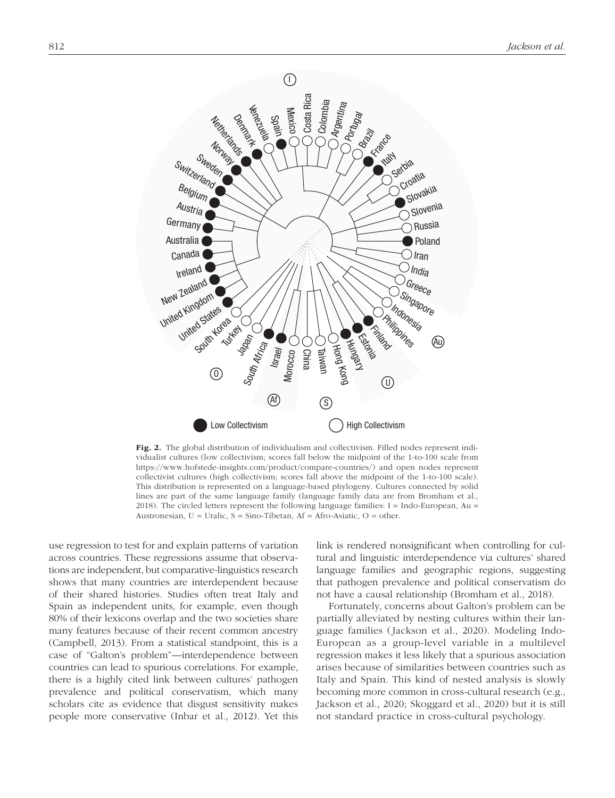

Fig. 2. The global distribution of individualism and collectivism. Filled nodes represent individualist cultures (low collectivism; scores fall below the midpoint of the 1-to-100 scale from <https://www.hofstede-insights.com/product/compare-countries/>) and open nodes represent collectivist cultures (high collectivism; scores fall above the midpoint of the 1-to-100 scale). This distribution is represented on a language-based phylogeny. Cultures connected by solid lines are part of the same language family (language family data are from Bromham et al., 2018). The circled letters represent the following language families: I = Indo-European, Au = Austronesian,  $U = \text{Uralic}$ ,  $S = \text{Sino-Tibetan}$ ,  $Af = \text{Afro-Asiatic}$ ,  $O = \text{other}$ .

use regression to test for and explain patterns of variation across countries. These regressions assume that observations are independent, but comparative-linguistics research shows that many countries are interdependent because of their shared histories. Studies often treat Italy and Spain as independent units, for example, even though 80% of their lexicons overlap and the two societies share many features because of their recent common ancestry (Campbell, 2013). From a statistical standpoint, this is a case of "Galton's problem"—interdependence between countries can lead to spurious correlations. For example, there is a highly cited link between cultures' pathogen prevalence and political conservatism, which many scholars cite as evidence that disgust sensitivity makes people more conservative (Inbar et al., 2012). Yet this link is rendered nonsignificant when controlling for cultural and linguistic interdependence via cultures' shared language families and geographic regions, suggesting that pathogen prevalence and political conservatism do not have a causal relationship (Bromham et al., 2018).

Fortunately, concerns about Galton's problem can be partially alleviated by nesting cultures within their language families (Jackson et al., 2020). Modeling Indo-European as a group-level variable in a multilevel regression makes it less likely that a spurious association arises because of similarities between countries such as Italy and Spain. This kind of nested analysis is slowly becoming more common in cross-cultural research (e.g., Jackson et al., 2020; Skoggard et al., 2020) but it is still not standard practice in cross-cultural psychology.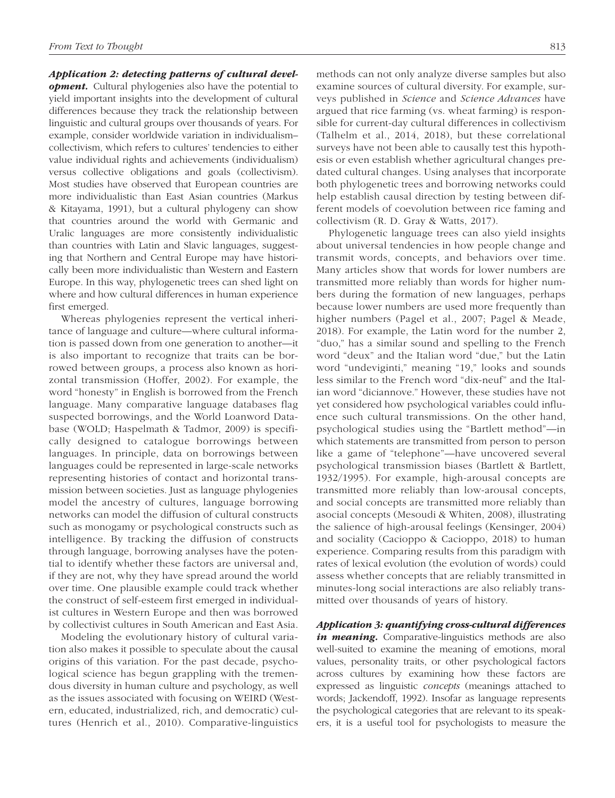## *Application 2: detecting patterns of cultural devel-*

*opment.* Cultural phylogenies also have the potential to yield important insights into the development of cultural differences because they track the relationship between linguistic and cultural groups over thousands of years. For example, consider worldwide variation in individualism– collectivism, which refers to cultures' tendencies to either value individual rights and achievements (individualism) versus collective obligations and goals (collectivism). Most studies have observed that European countries are more individualistic than East Asian countries (Markus & Kitayama, 1991), but a cultural phylogeny can show that countries around the world with Germanic and Uralic languages are more consistently individualistic than countries with Latin and Slavic languages, suggesting that Northern and Central Europe may have historically been more individualistic than Western and Eastern Europe. In this way, phylogenetic trees can shed light on where and how cultural differences in human experience first emerged.

Whereas phylogenies represent the vertical inheritance of language and culture—where cultural information is passed down from one generation to another—it is also important to recognize that traits can be borrowed between groups, a process also known as horizontal transmission (Hoffer, 2002). For example, the word "honesty" in English is borrowed from the French language. Many comparative language databases flag suspected borrowings, and the World Loanword Database (WOLD; Haspelmath & Tadmor, 2009) is specifically designed to catalogue borrowings between languages. In principle, data on borrowings between languages could be represented in large-scale networks representing histories of contact and horizontal transmission between societies. Just as language phylogenies model the ancestry of cultures, language borrowing networks can model the diffusion of cultural constructs such as monogamy or psychological constructs such as intelligence. By tracking the diffusion of constructs through language, borrowing analyses have the potential to identify whether these factors are universal and, if they are not, why they have spread around the world over time. One plausible example could track whether the construct of self-esteem first emerged in individualist cultures in Western Europe and then was borrowed by collectivist cultures in South American and East Asia.

Modeling the evolutionary history of cultural variation also makes it possible to speculate about the causal origins of this variation. For the past decade, psychological science has begun grappling with the tremendous diversity in human culture and psychology, as well as the issues associated with focusing on WEIRD (Western, educated, industrialized, rich, and democratic) cultures (Henrich et al., 2010). Comparative-linguistics methods can not only analyze diverse samples but also examine sources of cultural diversity. For example, surveys published in *Science* and *Science Advances* have argued that rice farming (vs. wheat farming) is responsible for current-day cultural differences in collectivism (Talhelm et al., 2014, 2018), but these correlational surveys have not been able to causally test this hypothesis or even establish whether agricultural changes predated cultural changes. Using analyses that incorporate both phylogenetic trees and borrowing networks could help establish causal direction by testing between different models of coevolution between rice faming and collectivism (R. D. Gray & Watts, 2017).

Phylogenetic language trees can also yield insights about universal tendencies in how people change and transmit words, concepts, and behaviors over time. Many articles show that words for lower numbers are transmitted more reliably than words for higher numbers during the formation of new languages, perhaps because lower numbers are used more frequently than higher numbers (Pagel et al., 2007; Pagel & Meade, 2018). For example, the Latin word for the number 2, "duo," has a similar sound and spelling to the French word "deux" and the Italian word "due," but the Latin word "undeviginti," meaning "19," looks and sounds less similar to the French word "dix-neuf" and the Italian word "diciannove." However, these studies have not yet considered how psychological variables could influence such cultural transmissions. On the other hand, psychological studies using the "Bartlett method"—in which statements are transmitted from person to person like a game of "telephone"—have uncovered several psychological transmission biases (Bartlett & Bartlett, 1932/1995). For example, high-arousal concepts are transmitted more reliably than low-arousal concepts, and social concepts are transmitted more reliably than asocial concepts (Mesoudi & Whiten, 2008), illustrating the salience of high-arousal feelings (Kensinger, 2004) and sociality (Cacioppo & Cacioppo, 2018) to human experience. Comparing results from this paradigm with rates of lexical evolution (the evolution of words) could assess whether concepts that are reliably transmitted in minutes-long social interactions are also reliably transmitted over thousands of years of history.

*Application 3: quantifying cross-cultural differences in meaning.* Comparative-linguistics methods are also well-suited to examine the meaning of emotions, moral values, personality traits, or other psychological factors across cultures by examining how these factors are expressed as linguistic *concepts* (meanings attached to words; Jackendoff, 1992). Insofar as language represents the psychological categories that are relevant to its speakers, it is a useful tool for psychologists to measure the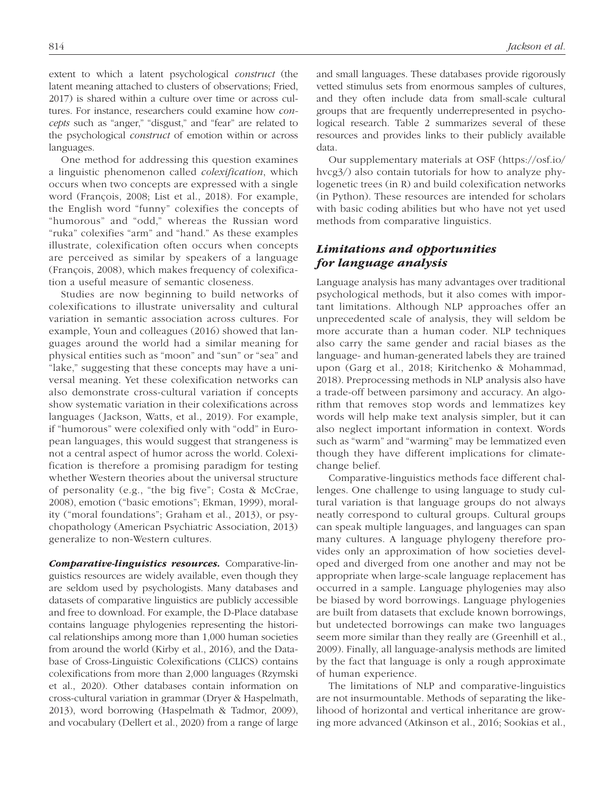extent to which a latent psychological *construct* (the latent meaning attached to clusters of observations; Fried, 2017) is shared within a culture over time or across cultures. For instance, researchers could examine how *concepts* such as "anger," "disgust," and "fear" are related to the psychological *construct* of emotion within or across languages.

One method for addressing this question examines a linguistic phenomenon called *colexification*, which occurs when two concepts are expressed with a single word (François, 2008; List et al., 2018). For example, the English word "funny" colexifies the concepts of "humorous" and "odd," whereas the Russian word "ruka" colexifies "arm" and "hand." As these examples illustrate, colexification often occurs when concepts are perceived as similar by speakers of a language (François, 2008), which makes frequency of colexification a useful measure of semantic closeness.

Studies are now beginning to build networks of colexifications to illustrate universality and cultural variation in semantic association across cultures. For example, Youn and colleagues (2016) showed that languages around the world had a similar meaning for physical entities such as "moon" and "sun" or "sea" and "lake," suggesting that these concepts may have a universal meaning. Yet these colexification networks can also demonstrate cross-cultural variation if concepts show systematic variation in their colexifications across languages (Jackson, Watts, et al., 2019). For example, if "humorous" were colexified only with "odd" in European languages, this would suggest that strangeness is not a central aspect of humor across the world. Colexification is therefore a promising paradigm for testing whether Western theories about the universal structure of personality (e.g., "the big five"; Costa & McCrae, 2008), emotion ("basic emotions"; Ekman, 1999), morality ("moral foundations"; Graham et al., 2013), or psychopathology (American Psychiatric Association, 2013) generalize to non-Western cultures.

*Comparative-linguistics resources.* Comparative-linguistics resources are widely available, even though they are seldom used by psychologists. Many databases and datasets of comparative linguistics are publicly accessible and free to download. For example, the D-Place database contains language phylogenies representing the historical relationships among more than 1,000 human societies from around the world (Kirby et al., 2016), and the Database of Cross-Linguistic Colexifications (CLICS) contains colexifications from more than 2,000 languages (Rzymski et al., 2020). Other databases contain information on cross-cultural variation in grammar (Dryer & Haspelmath, 2013), word borrowing (Haspelmath & Tadmor, 2009), and vocabulary (Dellert et al., 2020) from a range of large and small languages. These databases provide rigorously vetted stimulus sets from enormous samples of cultures, and they often include data from small-scale cultural groups that are frequently underrepresented in psychological research. Table 2 summarizes several of these resources and provides links to their publicly available data.

Our supplementary materials at OSF ([https://osf.io/](https://osf.io/hvcg3/) [hvcg3/](https://osf.io/hvcg3/)) also contain tutorials for how to analyze phylogenetic trees (in R) and build colexification networks (in Python). These resources are intended for scholars with basic coding abilities but who have not yet used methods from comparative linguistics.

# *Limitations and opportunities for language analysis*

Language analysis has many advantages over traditional psychological methods, but it also comes with important limitations. Although NLP approaches offer an unprecedented scale of analysis, they will seldom be more accurate than a human coder. NLP techniques also carry the same gender and racial biases as the language- and human-generated labels they are trained upon (Garg et al., 2018; Kiritchenko & Mohammad, 2018). Preprocessing methods in NLP analysis also have a trade-off between parsimony and accuracy. An algorithm that removes stop words and lemmatizes key words will help make text analysis simpler, but it can also neglect important information in context. Words such as "warm" and "warming" may be lemmatized even though they have different implications for climatechange belief.

Comparative-linguistics methods face different challenges. One challenge to using language to study cultural variation is that language groups do not always neatly correspond to cultural groups. Cultural groups can speak multiple languages, and languages can span many cultures. A language phylogeny therefore provides only an approximation of how societies developed and diverged from one another and may not be appropriate when large-scale language replacement has occurred in a sample. Language phylogenies may also be biased by word borrowings. Language phylogenies are built from datasets that exclude known borrowings, but undetected borrowings can make two languages seem more similar than they really are (Greenhill et al., 2009). Finally, all language-analysis methods are limited by the fact that language is only a rough approximate of human experience.

The limitations of NLP and comparative-linguistics are not insurmountable. Methods of separating the likelihood of horizontal and vertical inheritance are growing more advanced (Atkinson et al., 2016; Sookias et al.,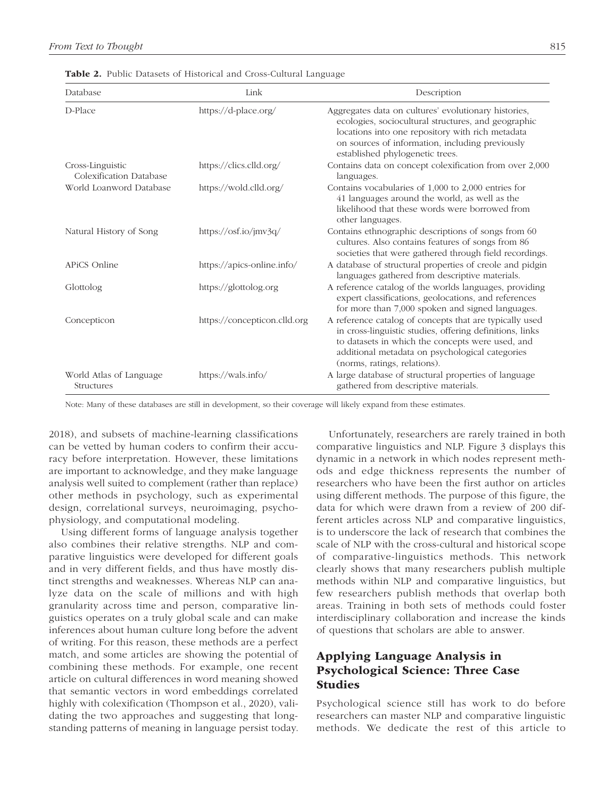| Database                                    | Link                         | Description                                                                                                                                                                                                                                                |
|---------------------------------------------|------------------------------|------------------------------------------------------------------------------------------------------------------------------------------------------------------------------------------------------------------------------------------------------------|
| D-Place                                     | https://d-place.org/         | Aggregates data on cultures' evolutionary histories,<br>ecologies, sociocultural structures, and geographic<br>locations into one repository with rich metadata<br>on sources of information, including previously<br>established phylogenetic trees.      |
| Cross-Linguistic<br>Colexification Database | https://clics.clld.org/      | Contains data on concept colexification from over 2,000<br>languages.                                                                                                                                                                                      |
| World Loanword Database                     | https://wold.clld.org/       | Contains vocabularies of 1,000 to 2,000 entries for<br>41 languages around the world, as well as the<br>likelihood that these words were borrowed from<br>other languages.                                                                                 |
| Natural History of Song                     | https://osf.io/jmv3q/        | Contains ethnographic descriptions of songs from 60<br>cultures. Also contains features of songs from 86<br>societies that were gathered through field recordings.                                                                                         |
| APiCS Online                                | https://apics-online.info/   | A database of structural properties of creole and pidgin<br>languages gathered from descriptive materials.                                                                                                                                                 |
| Glottolog                                   | https://glottolog.org        | A reference catalog of the worlds languages, providing<br>expert classifications, geolocations, and references<br>for more than 7,000 spoken and signed languages.                                                                                         |
| Concepticon                                 | https://concepticon.clld.org | A reference catalog of concepts that are typically used<br>in cross-linguistic studies, offering definitions, links<br>to datasets in which the concepts were used, and<br>additional metadata on psychological categories<br>(norms, ratings, relations). |
| World Atlas of Language<br>Structures       | https://wals.info/           | A large database of structural properties of language<br>gathered from descriptive materials.                                                                                                                                                              |

Table 2. Public Datasets of Historical and Cross-Cultural Language

Note: Many of these databases are still in development, so their coverage will likely expand from these estimates.

2018), and subsets of machine-learning classifications can be vetted by human coders to confirm their accuracy before interpretation. However, these limitations are important to acknowledge, and they make language analysis well suited to complement (rather than replace) other methods in psychology, such as experimental design, correlational surveys, neuroimaging, psychophysiology, and computational modeling.

Using different forms of language analysis together also combines their relative strengths. NLP and comparative linguistics were developed for different goals and in very different fields, and thus have mostly distinct strengths and weaknesses. Whereas NLP can analyze data on the scale of millions and with high granularity across time and person, comparative linguistics operates on a truly global scale and can make inferences about human culture long before the advent of writing. For this reason, these methods are a perfect match, and some articles are showing the potential of combining these methods. For example, one recent article on cultural differences in word meaning showed that semantic vectors in word embeddings correlated highly with colexification (Thompson et al., 2020), validating the two approaches and suggesting that longstanding patterns of meaning in language persist today.

Unfortunately, researchers are rarely trained in both comparative linguistics and NLP. Figure 3 displays this dynamic in a network in which nodes represent methods and edge thickness represents the number of researchers who have been the first author on articles using different methods. The purpose of this figure, the data for which were drawn from a review of 200 different articles across NLP and comparative linguistics, is to underscore the lack of research that combines the scale of NLP with the cross-cultural and historical scope of comparative-linguistics methods. This network clearly shows that many researchers publish multiple methods within NLP and comparative linguistics, but few researchers publish methods that overlap both areas. Training in both sets of methods could foster interdisciplinary collaboration and increase the kinds of questions that scholars are able to answer.

# Applying Language Analysis in Psychological Science: Three Case Studies

Psychological science still has work to do before researchers can master NLP and comparative linguistic methods. We dedicate the rest of this article to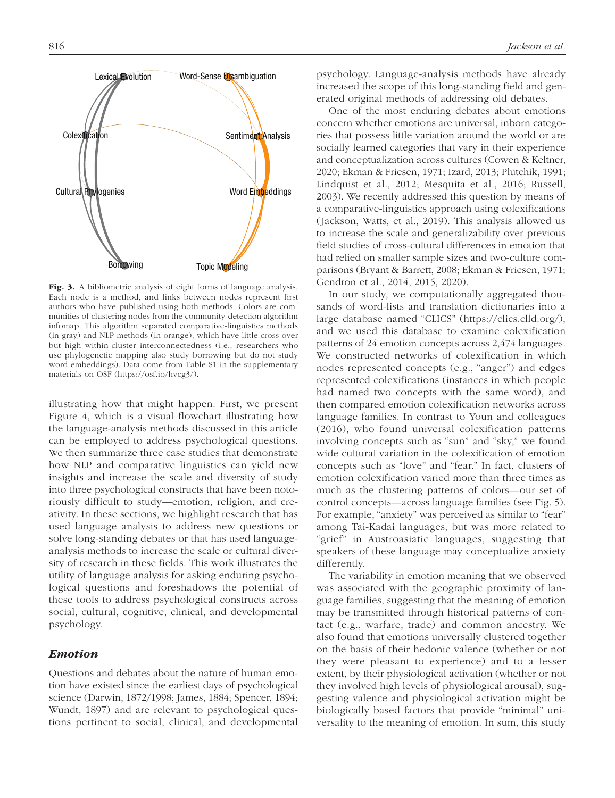

Fig. 3. A bibliometric analysis of eight forms of language analysis. Each node is a method, and links between nodes represent first authors who have published using both methods. Colors are communities of clustering nodes from the community-detection algorithm infomap. This algorithm separated comparative-linguistics methods (in gray) and NLP methods (in orange), which have little cross-over but high within-cluster interconnectedness (i.e., researchers who use phylogenetic mapping also study borrowing but do not study word embeddings). Data come from Table S1 in the supplementary materials on OSF ([https://osf.io/hvcg3/\)](https://osf.io/hvcg3/).

illustrating how that might happen. First, we present Figure 4, which is a visual flowchart illustrating how the language-analysis methods discussed in this article can be employed to address psychological questions. We then summarize three case studies that demonstrate how NLP and comparative linguistics can yield new insights and increase the scale and diversity of study into three psychological constructs that have been notoriously difficult to study—emotion, religion, and creativity. In these sections, we highlight research that has used language analysis to address new questions or solve long-standing debates or that has used languageanalysis methods to increase the scale or cultural diversity of research in these fields. This work illustrates the utility of language analysis for asking enduring psychological questions and foreshadows the potential of these tools to address psychological constructs across social, cultural, cognitive, clinical, and developmental psychology.

## *Emotion*

Questions and debates about the nature of human emotion have existed since the earliest days of psychological science (Darwin, 1872/1998; James, 1884; Spencer, 1894; Wundt, 1897) and are relevant to psychological questions pertinent to social, clinical, and developmental psychology. Language-analysis methods have already increased the scope of this long-standing field and generated original methods of addressing old debates.

One of the most enduring debates about emotions concern whether emotions are universal, inborn categories that possess little variation around the world or are socially learned categories that vary in their experience and conceptualization across cultures (Cowen & Keltner, 2020; Ekman & Friesen, 1971; Izard, 2013; Plutchik, 1991; Lindquist et al., 2012; Mesquita et al., 2016; Russell, 2003). We recently addressed this question by means of a comparative-linguistics approach using colexifications (Jackson, Watts, et al., 2019). This analysis allowed us to increase the scale and generalizability over previous field studies of cross-cultural differences in emotion that had relied on smaller sample sizes and two-culture comparisons (Bryant & Barrett, 2008; Ekman & Friesen, 1971; Gendron et al., 2014, 2015, 2020).

In our study, we computationally aggregated thousands of word-lists and translation dictionaries into a large database named "CLICS" ([https://clics.clld.org/\)](https://clics.clld.org/), and we used this database to examine colexification patterns of 24 emotion concepts across 2,474 languages. We constructed networks of colexification in which nodes represented concepts (e.g., "anger") and edges represented colexifications (instances in which people had named two concepts with the same word), and then compared emotion colexification networks across language families. In contrast to Youn and colleagues (2016), who found universal colexification patterns involving concepts such as "sun" and "sky," we found wide cultural variation in the colexification of emotion concepts such as "love" and "fear." In fact, clusters of emotion colexification varied more than three times as much as the clustering patterns of colors—our set of control concepts—across language families (see Fig. 5). For example, "anxiety" was perceived as similar to "fear" among Tai-Kadai languages, but was more related to "grief" in Austroasiatic languages, suggesting that speakers of these language may conceptualize anxiety differently.

The variability in emotion meaning that we observed was associated with the geographic proximity of language families, suggesting that the meaning of emotion may be transmitted through historical patterns of contact (e.g., warfare, trade) and common ancestry. We also found that emotions universally clustered together on the basis of their hedonic valence (whether or not they were pleasant to experience) and to a lesser extent, by their physiological activation (whether or not they involved high levels of physiological arousal), suggesting valence and physiological activation might be biologically based factors that provide "minimal" universality to the meaning of emotion. In sum, this study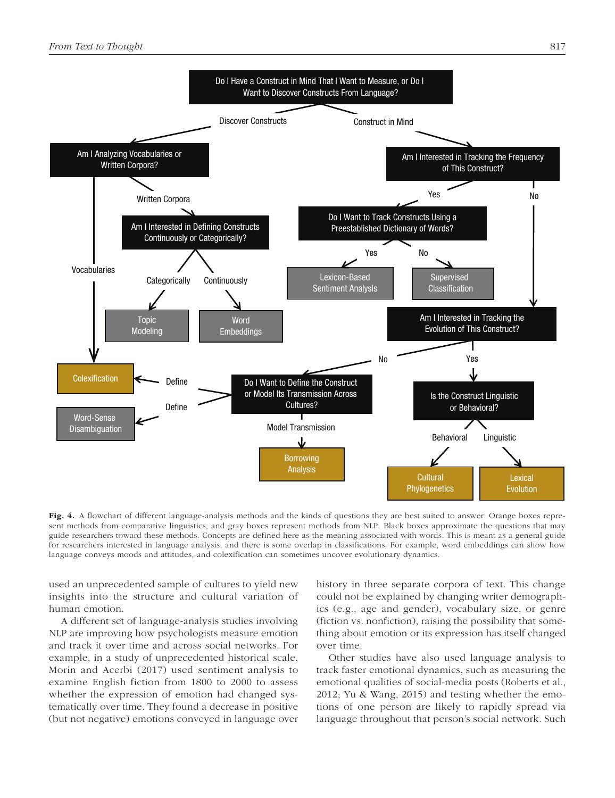

Fig. 4. A flowchart of different language-analysis methods and the kinds of questions they are best suited to answer. Orange boxes represent methods from comparative linguistics, and gray boxes represent methods from NLP. Black boxes approximate the questions that may guide researchers toward these methods. Concepts are defined here as the meaning associated with words. This is meant as a general guide for researchers interested in language analysis, and there is some overlap in classifications. For example, word embeddings can show how language conveys moods and attitudes, and colexification can sometimes uncover evolutionary dynamics.

used an unprecedented sample of cultures to yield new insights into the structure and cultural variation of human emotion.

A different set of language-analysis studies involving NLP are improving how psychologists measure emotion and track it over time and across social networks. For example, in a study of unprecedented historical scale, Morin and Acerbi (2017) used sentiment analysis to examine English fiction from 1800 to 2000 to assess whether the expression of emotion had changed systematically over time. They found a decrease in positive (but not negative) emotions conveyed in language over history in three separate corpora of text. This change could not be explained by changing writer demographics (e.g., age and gender), vocabulary size, or genre (fiction vs. nonfiction), raising the possibility that something about emotion or its expression has itself changed over time.

Other studies have also used language analysis to track faster emotional dynamics, such as measuring the emotional qualities of social-media posts (Roberts et al., 2012; Yu & Wang, 2015) and testing whether the emotions of one person are likely to rapidly spread via language throughout that person's social network. Such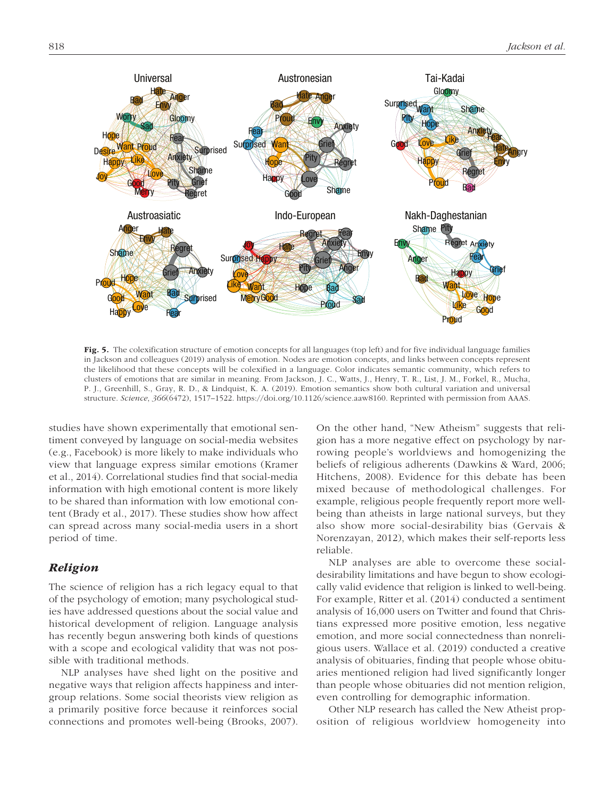

Fig. 5. The colexification structure of emotion concepts for all languages (top left) and for five individual language families in Jackson and colleagues (2019) analysis of emotion. Nodes are emotion concepts, and links between concepts represent the likelihood that these concepts will be colexified in a language. Color indicates semantic community, which refers to clusters of emotions that are similar in meaning. From Jackson, J. C., Watts, J., Henry, T. R., List, J. M., Forkel, R., Mucha, P. J., Greenhill, S., Gray, R. D., & Lindquist, K. A. (2019). Emotion semantics show both cultural variation and universal structure. *Science*, *366*(6472), 1517–1522.<https://doi.org/10.1126/science.aaw8160>. Reprinted with permission from AAAS.

studies have shown experimentally that emotional sentiment conveyed by language on social-media websites (e.g., Facebook) is more likely to make individuals who view that language express similar emotions (Kramer et al., 2014). Correlational studies find that social-media information with high emotional content is more likely to be shared than information with low emotional content (Brady et al., 2017). These studies show how affect can spread across many social-media users in a short period of time.

## *Religion*

The science of religion has a rich legacy equal to that of the psychology of emotion; many psychological studies have addressed questions about the social value and historical development of religion. Language analysis has recently begun answering both kinds of questions with a scope and ecological validity that was not possible with traditional methods.

NLP analyses have shed light on the positive and negative ways that religion affects happiness and intergroup relations. Some social theorists view religion as a primarily positive force because it reinforces social connections and promotes well-being (Brooks, 2007). On the other hand, "New Atheism" suggests that religion has a more negative effect on psychology by narrowing people's worldviews and homogenizing the beliefs of religious adherents (Dawkins & Ward, 2006; Hitchens, 2008). Evidence for this debate has been mixed because of methodological challenges. For example, religious people frequently report more wellbeing than atheists in large national surveys, but they also show more social-desirability bias (Gervais & Norenzayan, 2012), which makes their self-reports less reliable.

NLP analyses are able to overcome these socialdesirability limitations and have begun to show ecologically valid evidence that religion is linked to well-being. For example, Ritter et al. (2014) conducted a sentiment analysis of 16,000 users on Twitter and found that Christians expressed more positive emotion, less negative emotion, and more social connectedness than nonreligious users. Wallace et al. (2019) conducted a creative analysis of obituaries, finding that people whose obituaries mentioned religion had lived significantly longer than people whose obituaries did not mention religion, even controlling for demographic information.

Other NLP research has called the New Atheist proposition of religious worldview homogeneity into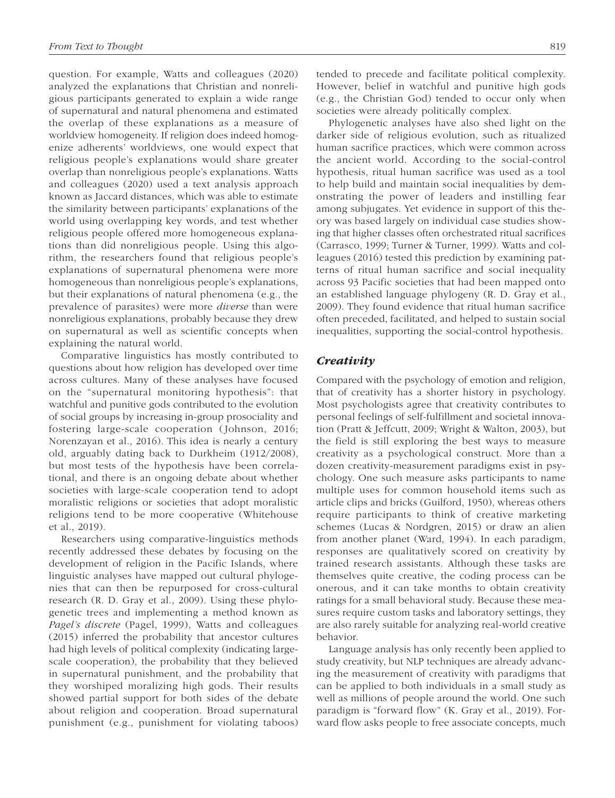question. For example, Watts and colleagues (2020) analyzed the explanations that Christian and nonreligious participants generated to explain a wide range of supernatural and natural phenomena and estimated the overlap of these explanations as a measure of worldview homogeneity. If religion does indeed homogenize adherents' worldviews, one would expect that religious people's explanations would share greater overlap than nonreligious people's explanations. Watts and colleagues (2020) used a text analysis approach known as Jaccard distances, which was able to estimate the similarity between participants' explanations of the world using overlapping key words, and test whether religious people offered more homogeneous explanations than did nonreligious people. Using this algorithm, the researchers found that religious people's explanations of supernatural phenomena were more homogeneous than nonreligious people's explanations, but their explanations of natural phenomena (e.g., the prevalence of parasites) were more *diverse* than were nonreligious explanations, probably because they drew on supernatural as well as scientific concepts when explaining the natural world.

Comparative linguistics has mostly contributed to questions about how religion has developed over time across cultures. Many of these analyses have focused on the "supernatural monitoring hypothesis": that watchful and punitive gods contributed to the evolution of social groups by increasing in-group prosociality and fostering large-scale cooperation (Johnson, 2016; Norenzayan et al., 2016). This idea is nearly a century old, arguably dating back to Durkheim (1912/2008), but most tests of the hypothesis have been correlational, and there is an ongoing debate about whether societies with large-scale cooperation tend to adopt moralistic religions or societies that adopt moralistic religions tend to be more cooperative (Whitehouse et al., 2019).

Researchers using comparative-linguistics methods recently addressed these debates by focusing on the development of religion in the Pacific Islands, where linguistic analyses have mapped out cultural phylogenies that can then be repurposed for cross-cultural research (R. D. Gray et al., 2009). Using these phylogenetic trees and implementing a method known as *Pagel's discrete* (Pagel, 1999), Watts and colleagues (2015) inferred the probability that ancestor cultures had high levels of political complexity (indicating largescale cooperation), the probability that they believed in supernatural punishment, and the probability that they worshiped moralizing high gods. Their results showed partial support for both sides of the debate about religion and cooperation. Broad supernatural punishment (e.g., punishment for violating taboos) tended to precede and facilitate political complexity. However, belief in watchful and punitive high gods (e.g., the Christian God) tended to occur only when societies were already politically complex.

Phylogenetic analyses have also shed light on the darker side of religious evolution, such as ritualized human sacrifice practices, which were common across the ancient world. According to the social-control hypothesis, ritual human sacrifice was used as a tool to help build and maintain social inequalities by demonstrating the power of leaders and instilling fear among subjugates. Yet evidence in support of this theory was based largely on individual case studies showing that higher classes often orchestrated ritual sacrifices (Carrasco, 1999; Turner & Turner, 1999). Watts and colleagues (2016) tested this prediction by examining patterns of ritual human sacrifice and social inequality across 93 Pacific societies that had been mapped onto an established language phylogeny (R. D. Gray et al., 2009). They found evidence that ritual human sacrifice often preceded, facilitated, and helped to sustain social inequalities, supporting the social-control hypothesis.

## *Creativity*

Compared with the psychology of emotion and religion, that of creativity has a shorter history in psychology. Most psychologists agree that creativity contributes to personal feelings of self-fulfillment and societal innovation (Pratt & Jeffcutt, 2009; Wright & Walton, 2003), but the field is still exploring the best ways to measure creativity as a psychological construct. More than a dozen creativity-measurement paradigms exist in psychology. One such measure asks participants to name multiple uses for common household items such as article clips and bricks (Guilford, 1950), whereas others require participants to think of creative marketing schemes (Lucas & Nordgren, 2015) or draw an alien from another planet (Ward, 1994). In each paradigm, responses are qualitatively scored on creativity by trained research assistants. Although these tasks are themselves quite creative, the coding process can be onerous, and it can take months to obtain creativity ratings for a small behavioral study. Because these measures require custom tasks and laboratory settings, they are also rarely suitable for analyzing real-world creative behavior.

Language analysis has only recently been applied to study creativity, but NLP techniques are already advancing the measurement of creativity with paradigms that can be applied to both individuals in a small study as well as millions of people around the world. One such paradigm is "forward flow" (K. Gray et al., 2019). Forward flow asks people to free associate concepts, much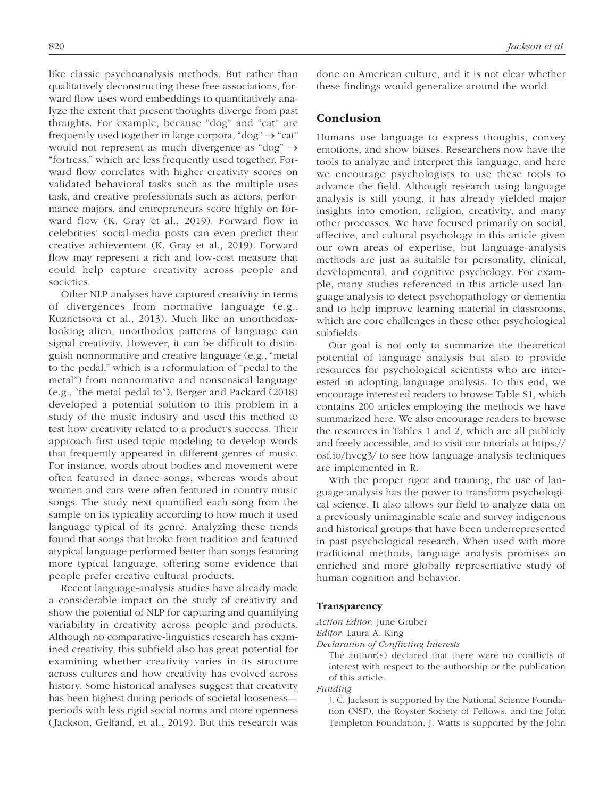like classic psychoanalysis methods. But rather than qualitatively deconstructing these free associations, forward flow uses word embeddings to quantitatively analyze the extent that present thoughts diverge from past thoughts. For example, because "dog" and "cat" are frequently used together in large corpora, "dog"  $\rightarrow$  "cat" would not represent as much divergence as "dog"  $\rightarrow$ "fortress," which are less frequently used together. Forward flow correlates with higher creativity scores on validated behavioral tasks such as the multiple uses task, and creative professionals such as actors, performance majors, and entrepreneurs score highly on forward flow (K. Gray et al., 2019). Forward flow in celebrities' social-media posts can even predict their creative achievement (K. Gray et al., 2019). Forward flow may represent a rich and low-cost measure that could help capture creativity across people and societies.

Other NLP analyses have captured creativity in terms of divergences from normative language (e.g., Kuznetsova et al., 2013). Much like an unorthodoxlooking alien, unorthodox patterns of language can signal creativity. However, it can be difficult to distinguish nonnormative and creative language (e.g., "metal to the pedal," which is a reformulation of "pedal to the metal") from nonnormative and nonsensical language (e.g., "the metal pedal to"). Berger and Packard (2018) developed a potential solution to this problem in a study of the music industry and used this method to test how creativity related to a product's success. Their approach first used topic modeling to develop words that frequently appeared in different genres of music. For instance, words about bodies and movement were often featured in dance songs, whereas words about women and cars were often featured in country music songs. The study next quantified each song from the sample on its typicality according to how much it used language typical of its genre. Analyzing these trends found that songs that broke from tradition and featured atypical language performed better than songs featuring more typical language, offering some evidence that people prefer creative cultural products.

Recent language-analysis studies have already made a considerable impact on the study of creativity and show the potential of NLP for capturing and quantifying variability in creativity across people and products. Although no comparative-linguistics research has examined creativity, this subfield also has great potential for examining whether creativity varies in its structure across cultures and how creativity has evolved across history. Some historical analyses suggest that creativity has been highest during periods of societal looseness periods with less rigid social norms and more openness (Jackson, Gelfand, et al., 2019). But this research was done on American culture, and it is not clear whether these findings would generalize around the world.

## Conclusion

Humans use language to express thoughts, convey emotions, and show biases. Researchers now have the tools to analyze and interpret this language, and here we encourage psychologists to use these tools to advance the field. Although research using language analysis is still young, it has already yielded major insights into emotion, religion, creativity, and many other processes. We have focused primarily on social, affective, and cultural psychology in this article given our own areas of expertise, but language-analysis methods are just as suitable for personality, clinical, developmental, and cognitive psychology. For example, many studies referenced in this article used language analysis to detect psychopathology or dementia and to help improve learning material in classrooms, which are core challenges in these other psychological subfields.

Our goal is not only to summarize the theoretical potential of language analysis but also to provide resources for psychological scientists who are interested in adopting language analysis. To this end, we encourage interested readers to browse Table S1, which contains 200 articles employing the methods we have summarized here. We also encourage readers to browse the resources in Tables 1 and 2, which are all publicly and freely accessible, and to visit our tutorials at [https://](https://osf.io/hvcg3/) [osf.io/hvcg3/](https://osf.io/hvcg3/) to see how language-analysis techniques are implemented in R.

With the proper rigor and training, the use of language analysis has the power to transform psychological science. It also allows our field to analyze data on a previously unimaginable scale and survey indigenous and historical groups that have been underrepresented in past psychological research. When used with more traditional methods, language analysis promises an enriched and more globally representative study of human cognition and behavior.

#### **Transparency**

*Action Editor:* June Gruber

*Editor:* Laura A. King

*Declaration of Conflicting Interests*

The author(s) declared that there were no conflicts of interest with respect to the authorship or the publication of this article.

#### *Funding*

J. C. Jackson is supported by the National Science Foundation (NSF), the Royster Society of Fellows, and the John Templeton Foundation. J. Watts is supported by the John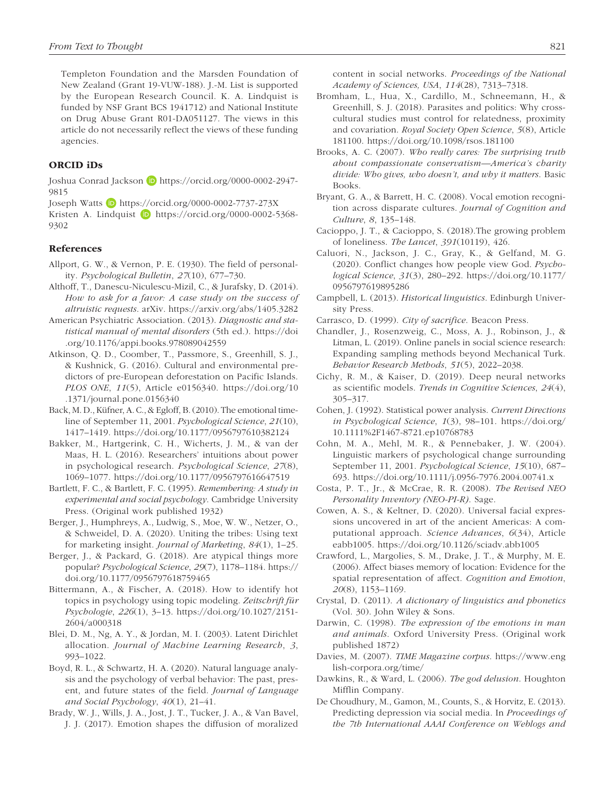Templeton Foundation and the Marsden Foundation of New Zealand (Grant 19-VUW-188). J.-M. List is supported by the European Research Council. K. A. Lindquist is funded by NSF Grant BCS 1941712) and National Institute on Drug Abuse Grant R01-DA051127. The views in this article do not necessarily reflect the views of these funding agencies.

#### ORCID iDs

Joshua Conrad Jackson D [https://orcid.org/0000-0002-2947-](https://orcid.org/0000-0002-2947-9815) [9815](https://orcid.org/0000-0002-2947-9815)

Joseph Watts D <https://orcid.org/0000-0002-7737-273X>

Kristen A. Lindquist  $\Box$  [https://orcid.org/0000-0002-5368-](https://orcid.org/0000-0002-5368-9302) [9302](https://orcid.org/0000-0002-5368-9302)

#### References

- Allport, G. W., & Vernon, P. E. (1930). The field of personality. *Psychological Bulletin*, *27*(10), 677–730.
- Althoff, T., Danescu-Niculescu-Mizil, C., & Jurafsky, D. (2014). *How to ask for a favor: A case study on the success of altruistic requests*. arXiv.<https://arxiv.org/abs/1405.3282>
- American Psychiatric Association. (2013). *Diagnostic and statistical manual of mental disorders* (5th ed.). [https://doi](https://doi.org/10.1176/appi.books.978089042559) [.org/10.1176/appi.books.978089042559](https://doi.org/10.1176/appi.books.978089042559)
- Atkinson, Q. D., Coomber, T., Passmore, S., Greenhill, S. J., & Kushnick, G. (2016). Cultural and environmental predictors of pre-European deforestation on Pacific Islands. *PLOS ONE*, *11*(5), Article e0156340. [https://doi.org/10](https://doi.org/10.1371/journal.pone.0156340) [.1371/journal.pone.0156340](https://doi.org/10.1371/journal.pone.0156340)
- Back, M. D., Küfner, A. C., & Egloff, B. (2010). The emotional timeline of September 11, 2001. *Psychological Science*, *21*(10), 1417–1419. <https://doi.org/10.1177/0956797610382124>
- Bakker, M., Hartgerink, C. H., Wicherts, J. M., & van der Maas, H. L. (2016). Researchers' intuitions about power in psychological research. *Psychological Science*, *27*(8), 1069–1077. <https://doi.org/10.1177/0956797616647519>
- Bartlett, F. C., & Bartlett, F. C. (1995). *Remembering: A study in experimental and social psychology*. Cambridge University Press. (Original work published 1932)
- Berger, J., Humphreys, A., Ludwig, S., Moe, W. W., Netzer, O., & Schweidel, D. A. (2020). Uniting the tribes: Using text for marketing insight. *Journal of Marketing*, *84*(1), 1–25.
- Berger, J., & Packard, G. (2018). Are atypical things more popular? *Psychological Science*, *29*(7), 1178–1184. [https://](https://doi.org/10.1177/0956797618759465) [doi.org/10.1177/0956797618759465](https://doi.org/10.1177/0956797618759465)
- Bittermann, A., & Fischer, A. (2018). How to identify hot topics in psychology using topic modeling. *Zeitschrift für Psychologie*, *226*(1), 3–13. [https://doi.org/10.1027/2151-](https://doi.org/10.1027/2151-2604/a000318) [2604/a000318](https://doi.org/10.1027/2151-2604/a000318)
- Blei, D. M., Ng, A. Y., & Jordan, M. I. (2003). Latent Dirichlet allocation. *Journal of Machine Learning Research*, *3*, 993–1022.
- Boyd, R. L., & Schwartz, H. A. (2020). Natural language analysis and the psychology of verbal behavior: The past, present, and future states of the field. *Journal of Language and Social Psychology*, *40*(1), 21–41.
- Brady, W. J., Wills, J. A., Jost, J. T., Tucker, J. A., & Van Bavel, J. J. (2017). Emotion shapes the diffusion of moralized

content in social networks. *Proceedings of the National Academy of Sciences, USA*, *114*(28), 7313–7318.

- Bromham, L., Hua, X., Cardillo, M., Schneemann, H., & Greenhill, S. J. (2018). Parasites and politics: Why crosscultural studies must control for relatedness, proximity and covariation. *Royal Society Open Science*, *5*(8), Article 181100.<https://doi.org/10.1098/rsos.181100>
- Brooks, A. C. (2007). *Who really cares: The surprising truth about compassionate conservatism—America's charity divide: Who gives, who doesn't, and why it matters*. Basic Books.
- Bryant, G. A., & Barrett, H. C. (2008). Vocal emotion recognition across disparate cultures. *Journal of Cognition and Culture*, *8*, 135–148.
- Cacioppo, J. T., & Cacioppo, S. (2018).The growing problem of loneliness. *The Lancet*, *391*(10119), 426.
- Caluori, N., Jackson, J. C., Gray, K., & Gelfand, M. G. (2020). Conflict changes how people view God. *Psychological Science*, *31*(3), 280–292. [https://doi.org/10.1177/](https://doi.org/10.1177/0956797619895286) [0956797619895286](https://doi.org/10.1177/0956797619895286)
- Campbell, L. (2013). *Historical linguistics*. Edinburgh University Press.
- Carrasco, D. (1999). *City of sacrifice*. Beacon Press.
- Chandler, J., Rosenzweig, C., Moss, A. J., Robinson, J., & Litman, L. (2019). Online panels in social science research: Expanding sampling methods beyond Mechanical Turk. *Behavior Research Methods*, *51*(5), 2022–2038.
- Cichy, R. M., & Kaiser, D. (2019). Deep neural networks as scientific models. *Trends in Cognitive Sciences*, *24*(4), 305–317.
- Cohen, J. (1992). Statistical power analysis. *Current Directions in Psychological Science*, *1*(3), 98–101. [https://doi.org/](https://doi.org/10.1111%2F1467-8721.ep10768783) [10.1111%2F1467-8721.ep10768783](https://doi.org/10.1111%2F1467-8721.ep10768783)
- Cohn, M. A., Mehl, M. R., & Pennebaker, J. W. (2004). Linguistic markers of psychological change surrounding September 11, 2001. *Psychological Science*, *15*(10), 687– 693.<https://doi.org/10.1111/j.0956-7976.2004.00741.x>
- Costa, P. T., Jr., & McCrae, R. R. (2008). *The Revised NEO Personality Inventory (NEO-PI-R)*. Sage.
- Cowen, A. S., & Keltner, D. (2020). Universal facial expressions uncovered in art of the ancient Americas: A computational approach. *Science Advances*, *6*(34), Article eabb1005. <https://doi.org/10.1126/sciadv.abb1005>
- Crawford, L., Margolies, S. M., Drake, J. T., & Murphy, M. E. (2006). Affect biases memory of location: Evidence for the spatial representation of affect. *Cognition and Emotion*, *20*(8), 1153–1169.
- Crystal, D. (2011). *A dictionary of linguistics and phonetics* (Vol. 30). John Wiley & Sons.
- Darwin, C. (1998). *The expression of the emotions in man and animals*. Oxford University Press. (Original work published 1872)
- Davies, M. (2007). *TIME Magazine corpus*. [https://www.eng](https://www.english-corpora.org/time/) [lish-corpora.org/time/](https://www.english-corpora.org/time/)
- Dawkins, R., & Ward, L. (2006). *The god delusion*. Houghton Mifflin Company.
- De Choudhury, M., Gamon, M., Counts, S., & Horvitz, E. (2013). Predicting depression via social media. In *Proceedings of the 7th International AAAI Conference on Weblogs and*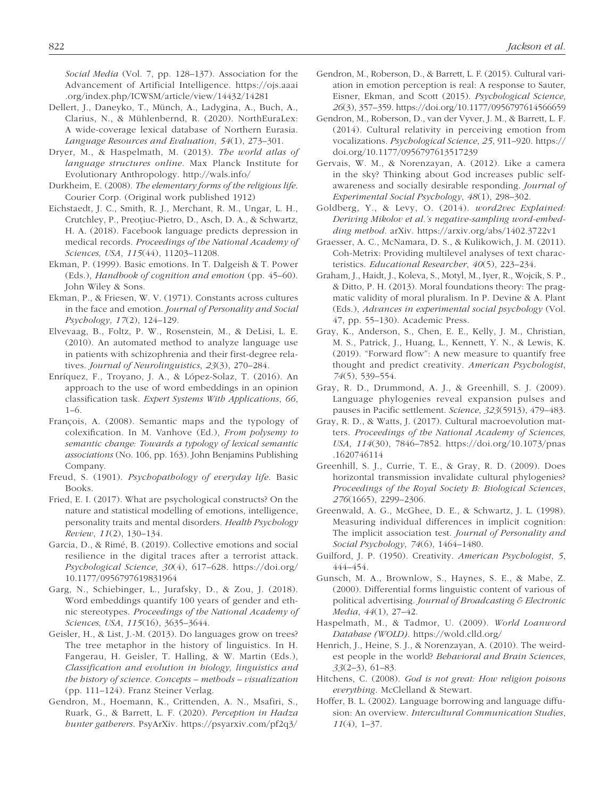*Social Media* (Vol. 7, pp. 128–137). Association for the Advancement of Artificial Intelligence. [https://ojs.aaai](https://ojs.aaai.org/index.php/ICWSM/article/view/14432/14281) [.org/index.php/ICWSM/article/view/14432/14281](https://ojs.aaai.org/index.php/ICWSM/article/view/14432/14281)

- Dellert, J., Daneyko, T., Münch, A., Ladygina, A., Buch, A., Clarius, N., & Mühlenbernd, R. (2020). NorthEuraLex: A wide-coverage lexical database of Northern Eurasia. *Language Resources and Evaluation*, *54*(1), 273–301.
- Dryer, M., & Haspelmath, M. (2013). *The world atlas of language structures online*. Max Planck Institute for Evolutionary Anthropology. <http://wals.info/>
- Durkheim, E. (2008). *The elementary forms of the religious life*. Courier Corp. (Original work published 1912)
- Eichstaedt, J. C., Smith, R. J., Merchant, R. M., Ungar, L. H., Crutchley, P., Preoțiuc-Pietro, D., Asch, D. A., & Schwartz, H. A. (2018). Facebook language predicts depression in medical records. *Proceedings of the National Academy of Sciences, USA*, *115*(44), 11203–11208.
- Ekman, P. (1999). Basic emotions. In T. Dalgeish & T. Power (Eds.), *Handbook of cognition and emotion* (pp. 45–60). John Wiley & Sons.
- Ekman, P., & Friesen, W. V. (1971). Constants across cultures in the face and emotion. *Journal of Personality and Social Psychology*, *17*(2), 124–129.
- Elvevaag, B., Foltz, P. W., Rosenstein, M., & DeLisi, L. E. (2010). An automated method to analyze language use in patients with schizophrenia and their first-degree relatives. *Journal of Neurolinguistics*, *23*(3), 270–284.
- Enríquez, F., Troyano, J. A., & López-Solaz, T. (2016). An approach to the use of word embeddings in an opinion classification task. *Expert Systems With Applications*, *66*, 1–6.
- François, A. (2008). Semantic maps and the typology of colexification. In M. Vanhove (Ed.), *From polysemy to semantic change: Towards a typology of lexical semantic associations* (No. 106, pp. 163). John Benjamins Publishing Company.
- Freud, S. (1901). *Psychopathology of everyday life*. Basic Books.
- Fried, E. I. (2017). What are psychological constructs? On the nature and statistical modelling of emotions, intelligence, personality traits and mental disorders. *Health Psychology Review*, *11*(2), 130–134.
- Garcia, D., & Rimé, B. (2019). Collective emotions and social resilience in the digital traces after a terrorist attack. *Psychological Science*, *30*(4), 617–628. [https://doi.org/](https://doi.org/10.1177/0956797619831964) [10.1177/0956797619831964](https://doi.org/10.1177/0956797619831964)
- Garg, N., Schiebinger, L., Jurafsky, D., & Zou, J. (2018). Word embeddings quantify 100 years of gender and ethnic stereotypes. *Proceedings of the National Academy of Sciences, USA*, *115*(16), 3635–3644.
- Geisler, H., & List, J.-M. (2013). Do languages grow on trees? The tree metaphor in the history of linguistics. In H. Fangerau, H. Geisler, T. Halling, & W. Martin (Eds.), *Classification and evolution in biology, linguistics and the history of science. Concepts – methods – visualization* (pp. 111–124). Franz Steiner Verlag.
- Gendron, M., Hoemann, K., Crittenden, A. N., Msafiri, S., Ruark, G., & Barrett, L. F. (2020). *Perception in Hadza hunter gatherers*. PsyArXiv. <https://psyarxiv.com/pf2q3/>
- Gendron, M., Roberson, D., & Barrett, L. F. (2015). Cultural variation in emotion perception is real: A response to Sauter, Eisner, Ekman, and Scott (2015). *Psychological Science*, *26*(3), 357–359.<https://doi.org/10.1177/0956797614566659>
- Gendron, M., Roberson, D., van der Vyver, J. M., & Barrett, L. F. (2014). Cultural relativity in perceiving emotion from vocalizations. *Psychological Science*, *25*, 911–920. [https://](https://doi.org/10.1177/0956797613517239) [doi.org/10.1177/0956797613517239](https://doi.org/10.1177/0956797613517239)
- Gervais, W. M., & Norenzayan, A. (2012). Like a camera in the sky? Thinking about God increases public selfawareness and socially desirable responding. *Journal of Experimental Social Psychology*, *48*(1), 298–302.
- Goldberg, Y., & Levy, O. (2014). *word2vec Explained: Deriving Mikolov et al.'s negative-sampling word-embedding method*. arXiv.<https://arxiv.org/abs/1402.3722v1>
- Graesser, A. C., McNamara, D. S., & Kulikowich, J. M. (2011). Coh-Metrix: Providing multilevel analyses of text characteristics. *Educational Researcher*, *40*(5), 223–234.
- Graham, J., Haidt, J., Koleva, S., Motyl, M., Iyer, R., Wojcik, S. P., & Ditto, P. H. (2013). Moral foundations theory: The pragmatic validity of moral pluralism. In P. Devine & A. Plant (Eds.), *Advances in experimental social psychology* (Vol. 47, pp. 55–130). Academic Press.
- Gray, K., Anderson, S., Chen, E. E., Kelly, J. M., Christian, M. S., Patrick, J., Huang, L., Kennett, Y. N., & Lewis, K. (2019). "Forward flow": A new measure to quantify free thought and predict creativity. *American Psychologist*, *74*(5), 539–554.
- Gray, R. D., Drummond, A. J., & Greenhill, S. J. (2009). Language phylogenies reveal expansion pulses and pauses in Pacific settlement. *Science*, *323*(5913), 479–483.
- Gray, R. D., & Watts, J. (2017). Cultural macroevolution matters. *Proceedings of the National Academy of Sciences, USA*, *114*(30), 7846–7852. [https://doi.org/10.1073/pnas](https://doi.org/10.1073/pnas.1620746114) [.1620746114](https://doi.org/10.1073/pnas.1620746114)
- Greenhill, S. J., Currie, T. E., & Gray, R. D. (2009). Does horizontal transmission invalidate cultural phylogenies? *Proceedings of the Royal Society B: Biological Sciences*, *276*(1665), 2299–2306.
- Greenwald, A. G., McGhee, D. E., & Schwartz, J. L. (1998). Measuring individual differences in implicit cognition: The implicit association test. *Journal of Personality and Social Psychology*, *74*(6), 1464–1480.
- Guilford, J. P. (1950). Creativity. *American Psychologist*, *5*, 444–454.
- Gunsch, M. A., Brownlow, S., Haynes, S. E., & Mabe, Z. (2000). Differential forms linguistic content of various of political advertising. *Journal of Broadcasting & Electronic Media*, *44*(1), 27–42.
- Haspelmath, M., & Tadmor, U. (2009). *World Loanword Database (WOLD)*. <https://wold.clld.org/>
- Henrich, J., Heine, S. J., & Norenzayan, A. (2010). The weirdest people in the world? *Behavioral and Brain Sciences*, *33*(2–3), 61–83.
- Hitchens, C. (2008). *God is not great: How religion poisons everything*. McClelland & Stewart.
- Hoffer, B. L. (2002). Language borrowing and language diffusion: An overview. *Intercultural Communication Studies*, *11*(4), 1–37.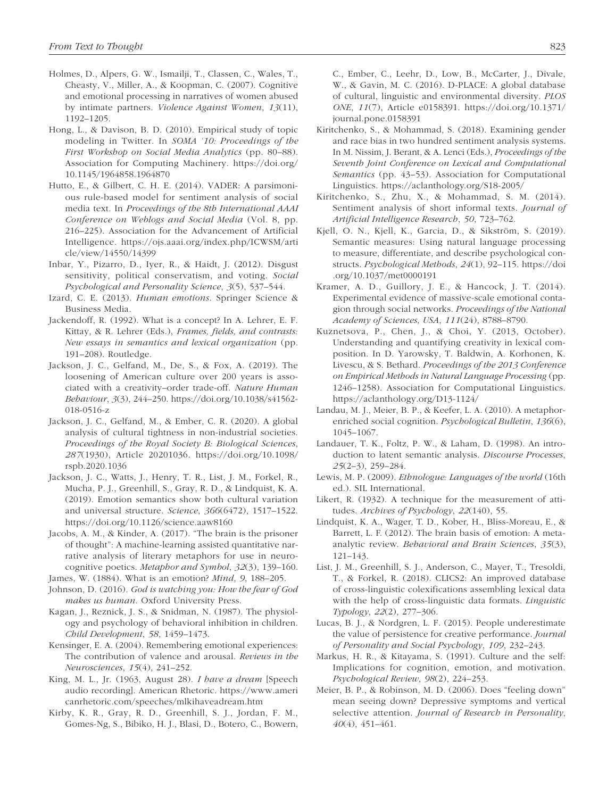- Holmes, D., Alpers, G. W., Ismailji, T., Classen, C., Wales, T., Cheasty, V., Miller, A., & Koopman, C. (2007). Cognitive and emotional processing in narratives of women abused by intimate partners. *Violence Against Women*, *13*(11), 1192–1205.
- Hong, L., & Davison, B. D. (2010). Empirical study of topic modeling in Twitter. In *SOMA '10: Proceedings of the First Workshop on Social Media Analytics* (pp. 80–88). Association for Computing Machinery. [https://doi.org/](https://doi.org/10.1145/1964858.1964870) [10.1145/1964858.1964870](https://doi.org/10.1145/1964858.1964870)
- Hutto, E., & Gilbert, C. H. E. (2014). VADER: A parsimonious rule-based model for sentiment analysis of social media text. In *Proceedings of the 8th International AAAI Conference on Weblogs and Social Media* (Vol. 8, pp. 216–225). Association for the Advancement of Artificial Intelligence. [https://ojs.aaai.org/index.php/ICWSM/arti](https://ojs.aaai.org/index.php/ICWSM/article/view/14550/14399) [cle/view/14550/14399](https://ojs.aaai.org/index.php/ICWSM/article/view/14550/14399)
- Inbar, Y., Pizarro, D., Iyer, R., & Haidt, J. (2012). Disgust sensitivity, political conservatism, and voting. *Social Psychological and Personality Science*, *3*(5), 537–544.
- Izard, C. E. (2013). *Human emotions*. Springer Science & Business Media.
- Jackendoff, R. (1992). What is a concept? In A. Lehrer, E. F. Kittay, & R. Lehrer (Eds.), *Frames, fields, and contrasts: New essays in semantics and lexical organization* (pp. 191–208). Routledge.
- Jackson, J. C., Gelfand, M., De, S., & Fox, A. (2019). The loosening of American culture over 200 years is associated with a creativity–order trade-off. *Nature Human Behaviour*, *3*(3), 244–250. [https://doi.org/10.1038/s41562-](https://doi.org/10.1038/s41562-018-0516-z) [018-0516-z](https://doi.org/10.1038/s41562-018-0516-z)
- Jackson, J. C., Gelfand, M., & Ember, C. R. (2020). A global analysis of cultural tightness in non-industrial societies. *Proceedings of the Royal Society B: Biological Sciences*, *287*(1930), Article 20201036. [https://doi.org/10.1098/](https://doi.org/10.1098/rspb.2020.1036) [rspb.2020.1036](https://doi.org/10.1098/rspb.2020.1036)
- Jackson, J. C., Watts, J., Henry, T. R., List, J. M., Forkel, R., Mucha, P. J., Greenhill, S., Gray, R. D., & Lindquist, K. A. (2019). Emotion semantics show both cultural variation and universal structure. *Science*, *366*(6472), 1517–1522. <https://doi.org/10.1126/science.aaw8160>
- Jacobs, A. M., & Kinder, A. (2017). "The brain is the prisoner of thought": A machine-learning assisted quantitative narrative analysis of literary metaphors for use in neurocognitive poetics. *Metaphor and Symbol*, *32*(3), 139–160.
- James, W. (1884). What is an emotion? *Mind*, *9*, 188–205.
- Johnson, D. (2016). *God is watching you: How the fear of God makes us human*. Oxford University Press.
- Kagan, J., Reznick, J. S., & Snidman, N. (1987). The physiology and psychology of behavioral inhibition in children. *Child Development*, *58*, 1459–1473.
- Kensinger, E. A. (2004). Remembering emotional experiences: The contribution of valence and arousal. *Reviews in the Neurosciences*, *15*(4), 241–252.
- King, M. L., Jr. (1963, August 28). *I have a dream* [Speech audio recording]. American Rhetoric. [https://www.ameri](https://www.americanrhetoric.com/speeches/mlkihaveadream.htm) [canrhetoric.com/speeches/mlkihaveadream.htm](https://www.americanrhetoric.com/speeches/mlkihaveadream.htm)
- Kirby, K. R., Gray, R. D., Greenhill, S. J., Jordan, F. M., Gomes-Ng, S., Bibiko, H. J., Blasi, D., Botero, C., Bowern,

C., Ember, C., Leehr, D., Low, B., McCarter, J., Divale, W., & Gavin, M. C. (2016). D-PLACE: A global database of cultural, linguistic and environmental diversity. *PLOS ONE*, *11*(7), Article e0158391. [https://doi.org/10.1371/](https://doi.org/10.1371/journal.pone.0158391) [journal.pone.0158391](https://doi.org/10.1371/journal.pone.0158391)

- Kiritchenko, S., & Mohammad, S. (2018). Examining gender and race bias in two hundred sentiment analysis systems. In M. Nissim, J. Berant, & A. Lenci (Eds.), *Proceedings of the Seventh Joint Conference on Lexical and Computational Semantics* (pp. 43–53). Association for Computational Linguistics. <https://aclanthology.org/S18-2005/>
- Kiritchenko, S., Zhu, X., & Mohammad, S. M. (2014). Sentiment analysis of short informal texts. *Journal of Artificial Intelligence Research*, *50*, 723–762.
- Kjell, O. N., Kjell, K., Garcia, D., & Sikström, S. (2019). Semantic measures: Using natural language processing to measure, differentiate, and describe psychological constructs. *Psychological Methods*, *24*(1), 92–115. [https://doi](https://doi.org/10.1037/met0000191) [.org/10.1037/met0000191](https://doi.org/10.1037/met0000191)
- Kramer, A. D., Guillory, J. E., & Hancock, J. T. (2014). Experimental evidence of massive-scale emotional contagion through social networks. *Proceedings of the National Academy of Sciences, USA*, *111*(24), 8788–8790.
- Kuznetsova, P., Chen, J., & Choi, Y. (2013, October). Understanding and quantifying creativity in lexical composition. In D. Yarowsky, T. Baldwin, A. Korhonen, K. Livescu, & S. Bethard. *Proceedings of the 2013 Conference on Empirical Methods in Natural Language Processing* (pp. 1246–1258). Association for Computational Linguistics. <https://aclanthology.org/D13-1124/>
- Landau, M. J., Meier, B. P., & Keefer, L. A. (2010). A metaphorenriched social cognition. *Psychological Bulletin*, *136*(6), 1045–1067.
- Landauer, T. K., Foltz, P. W., & Laham, D. (1998). An introduction to latent semantic analysis. *Discourse Processes*, *25*(2–3), 259–284.
- Lewis, M. P. (2009). *Ethnologue: Languages of the world* (16th ed.). SIL International.
- Likert, R. (1932). A technique for the measurement of attitudes. *Archives of Psychology*, *22*(140), 55.
- Lindquist, K. A., Wager, T. D., Kober, H., Bliss-Moreau, E., & Barrett, L. F. (2012). The brain basis of emotion: A metaanalytic review. *Behavioral and Brain Sciences*, *35*(3), 121–143.
- List, J. M., Greenhill, S. J., Anderson, C., Mayer, T., Tresoldi, T., & Forkel, R. (2018). CLICS2: An improved database of cross-linguistic colexifications assembling lexical data with the help of cross-linguistic data formats. *Linguistic Typology*, *22*(2), 277–306.
- Lucas, B. J., & Nordgren, L. F. (2015). People underestimate the value of persistence for creative performance. *Journal of Personality and Social Psychology*, *109*, 232–243.
- Markus, H. R., & Kitayama, S. (1991). Culture and the self: Implications for cognition, emotion, and motivation. *Psychological Review*, *98*(2), 224–253.
- Meier, B. P., & Robinson, M. D. (2006). Does "feeling down" mean seeing down? Depressive symptoms and vertical selective attention. *Journal of Research in Personality*, *40*(4), 451–461.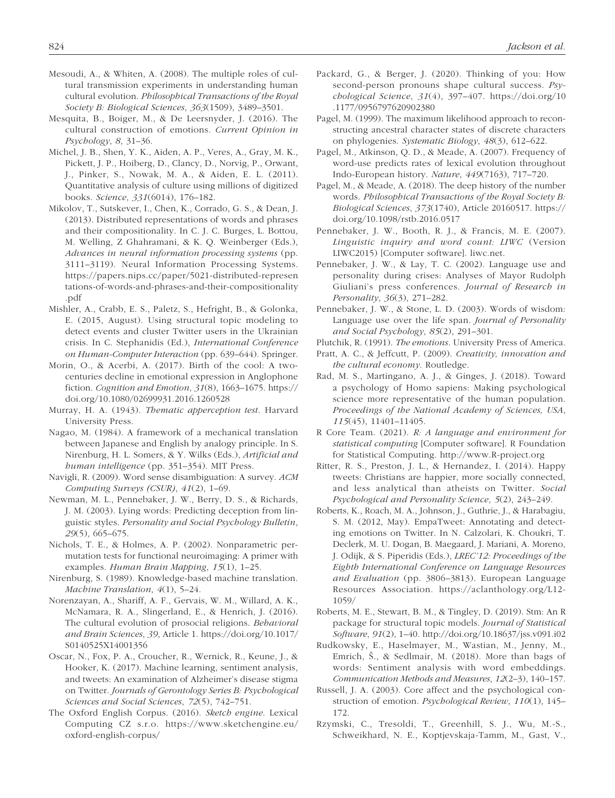- Mesoudi, A., & Whiten, A. (2008). The multiple roles of cultural transmission experiments in understanding human cultural evolution. *Philosophical Transactions of the Royal Society B: Biological Sciences*, *363*(1509), 3489–3501.
- Mesquita, B., Boiger, M., & De Leersnyder, J. (2016). The cultural construction of emotions. *Current Opinion in Psychology*, *8*, 31–36.
- Michel, J. B., Shen, Y. K., Aiden, A. P., Veres, A., Gray, M. K., Pickett, J. P., Hoiberg, D., Clancy, D., Norvig, P., Orwant, J., Pinker, S., Nowak, M. A., & Aiden, E. L. (2011). Quantitative analysis of culture using millions of digitized books. *Science*, *331*(6014), 176–182.
- Mikolov, T., Sutskever, I., Chen, K., Corrado, G. S., & Dean, J. (2013). Distributed representations of words and phrases and their compositionality. In C. J. C. Burges, L. Bottou, M. Welling, Z Ghahramani, & K. Q. Weinberger (Eds.), *Advances in neural information processing systems* (pp. 3111–3119). Neural Information Processing Systems. [https://papers.nips.cc/paper/5021-distributed-represen](https://papers.nips.cc/paper/5021-distributed-representations-of-words-and-phrases-and-their-compositionality.pdf) [tations-of-words-and-phrases-and-their-compositionality](https://papers.nips.cc/paper/5021-distributed-representations-of-words-and-phrases-and-their-compositionality.pdf) [.pdf](https://papers.nips.cc/paper/5021-distributed-representations-of-words-and-phrases-and-their-compositionality.pdf)
- Mishler, A., Crabb, E. S., Paletz, S., Hefright, B., & Golonka, E. (2015, August). Using structural topic modeling to detect events and cluster Twitter users in the Ukrainian crisis. In C. Stephanidis (Ed.), *International Conference on Human-Computer Interaction* (pp. 639–644). Springer.
- Morin, O., & Acerbi, A. (2017). Birth of the cool: A twocenturies decline in emotional expression in Anglophone fiction. *Cognition and Emotion*, *31*(8), 1663–1675. [https://](https://doi.org/10.1080/02699931.2016.1260528) [doi.org/10.1080/02699931.2016.1260528](https://doi.org/10.1080/02699931.2016.1260528)
- Murray, H. A. (1943). *Thematic apperception test*. Harvard University Press.
- Nagao, M. (1984). A framework of a mechanical translation between Japanese and English by analogy principle. In S. Nirenburg, H. L. Somers, & Y. Wilks (Eds.), *Artificial and human intelligence* (pp. 351–354). MIT Press.
- Navigli, R. (2009). Word sense disambiguation: A survey. *ACM Computing Surveys (CSUR)*, *41*(2), 1–69.
- Newman, M. L., Pennebaker, J. W., Berry, D. S., & Richards, J. M. (2003). Lying words: Predicting deception from linguistic styles. *Personality and Social Psychology Bulletin*, *29*(5), 665–675.
- Nichols, T. E., & Holmes, A. P. (2002). Nonparametric permutation tests for functional neuroimaging: A primer with examples. *Human Brain Mapping*, *15*(1), 1–25.
- Nirenburg, S. (1989). Knowledge-based machine translation. *Machine Translation*, *4*(1), 5–24.
- Norenzayan, A., Shariff, A. F., Gervais, W. M., Willard, A. K., McNamara, R. A., Slingerland, E., & Henrich, J. (2016). The cultural evolution of prosocial religions. *Behavioral and Brain Sciences*, *39*, Article 1. [https://doi.org/10.1017/](https://doi.org/10.1017/S0140525X14001356) [S0140525X14001356](https://doi.org/10.1017/S0140525X14001356)
- Oscar, N., Fox, P. A., Croucher, R., Wernick, R., Keune, J., & Hooker, K. (2017). Machine learning, sentiment analysis, and tweets: An examination of Alzheimer's disease stigma on Twitter. *Journals of Gerontology Series B: Psychological Sciences and Social Sciences*, *72*(5), 742–751.
- The Oxford English Corpus. (2016). *Sketch engine*. Lexical Computing CZ s.r.o. [https://www.sketchengine.eu/](https://www.sketchengine.eu/oxford-english-corpus/) [oxford-english-corpus/](https://www.sketchengine.eu/oxford-english-corpus/)
- Packard, G., & Berger, J. (2020). Thinking of you: How second-person pronouns shape cultural success. *Psychological Science*, *31*(4), 397–407. [https://doi.org/10](https://doi.org/10.1177/0956797620902380) [.1177/0956797620902380](https://doi.org/10.1177/0956797620902380)
- Pagel, M. (1999). The maximum likelihood approach to reconstructing ancestral character states of discrete characters on phylogenies. *Systematic Biology*, *48*(3), 612–622.
- Pagel, M., Atkinson, Q. D., & Meade, A. (2007). Frequency of word-use predicts rates of lexical evolution throughout Indo-European history. *Nature*, *449*(7163), 717–720.
- Pagel, M., & Meade, A. (2018). The deep history of the number words. *Philosophical Transactions of the Royal Society B: Biological Sciences*, *373*(1740), Article 20160517. [https://](https://doi.org/10.1098/rstb.2016.0517) [doi.org/10.1098/rstb.2016.0517](https://doi.org/10.1098/rstb.2016.0517)
- Pennebaker, J. W., Booth, R. J., & Francis, M. E. (2007). *Linguistic inquiry and word count: LIWC* (Version LIWC2015) [Computer software]. liwc.net.
- Pennebaker, J. W., & Lay, T. C. (2002). Language use and personality during crises: Analyses of Mayor Rudolph Giuliani's press conferences. *Journal of Research in Personality*, *36*(3), 271–282.
- Pennebaker, J. W., & Stone, L. D. (2003). Words of wisdom: Language use over the life span. *Journal of Personality and Social Psychology*, *85*(2), 291–301.
- Plutchik, R. (1991). *The emotions*. University Press of America.
- Pratt, A. C., & Jeffcutt, P. (2009). *Creativity, innovation and the cultural economy*. Routledge.
- Rad, M. S., Martingano, A. J., & Ginges, J. (2018). Toward a psychology of Homo sapiens: Making psychological science more representative of the human population. *Proceedings of the National Academy of Sciences, USA*, *115*(45), 11401–11405.
- R Core Team. (2021). *R: A language and environment for statistical computing* [Computer software]. R Foundation for Statistical Computing. <http://www.R-project.org>
- Ritter, R. S., Preston, J. L., & Hernandez, I. (2014). Happy tweets: Christians are happier, more socially connected, and less analytical than atheists on Twitter. *Social Psychological and Personality Science*, *5*(2), 243–249.
- Roberts, K., Roach, M. A., Johnson, J., Guthrie, J., & Harabagiu, S. M. (2012, May). EmpaTweet: Annotating and detecting emotions on Twitter. In N. Calzolari, K. Choukri, T. Declerk, M. U. Dogan, B. Maegaard, J. Mariani, A. Moreno, J. Odijk, & S. Piperidis (Eds.), *LREC'12: Proceedings of the Eighth International Conference on Language Resources and Evaluation* (pp. 3806–3813). European Language Resources Association. [https://aclanthology.org/L12-](https://aclanthology.org/L12-1059/) [1059/](https://aclanthology.org/L12-1059/)
- Roberts, M. E., Stewart, B. M., & Tingley, D. (2019). Stm: An R package for structural topic models. *Journal of Statistical Software*, *91*(2), 1–40.<http://doi.org/10.18637/jss.v091.i02>
- Rudkowsky, E., Haselmayer, M., Wastian, M., Jenny, M., Emrich, Š., & Sedlmair, M. (2018). More than bags of words: Sentiment analysis with word embeddings. *Communication Methods and Measures*, *12*(2–3), 140–157.
- Russell, J. A. (2003). Core affect and the psychological construction of emotion. *Psychological Review*, *110*(1), 145– 172.
- Rzymski, C., Tresoldi, T., Greenhill, S. J., Wu, M.-S., Schweikhard, N. E., Koptjevskaja-Tamm, M., Gast, V.,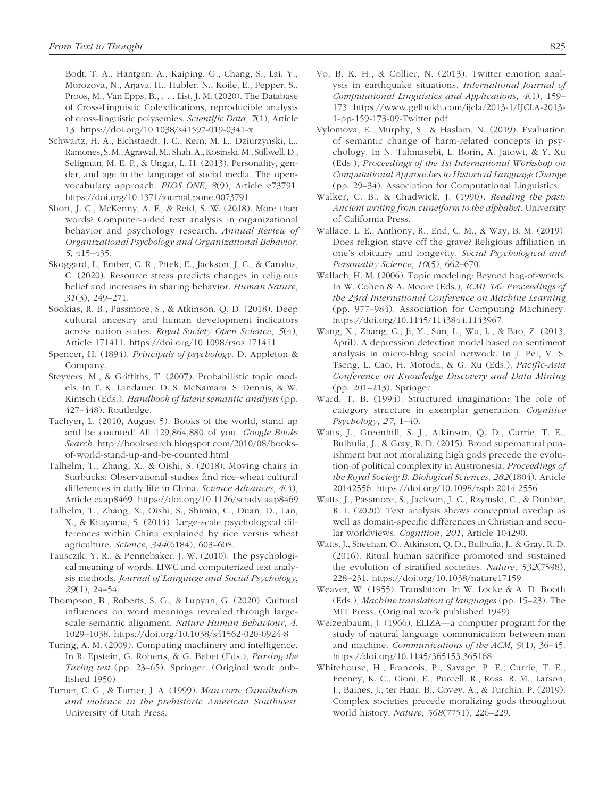Bodt, T. A., Hantgan, A., Kaiping, G., Chang, S., Lai, Y., Morozova, N., Arjava, H., Hubler, N., Koile, E., Pepper, S., Proos, M., Van Epps, B., . . . List, J. M. (2020). The Database of Cross-Linguistic Colexifications, reproducible analysis of cross-linguistic polysemies. *Scientific Data*, *7*(1), Article 13. <https://doi.org/10.1038/s41597-019-0341-x>

- Schwartz, H. A., Eichstaedt, J. C., Kern, M. L., Dziurzynski, L., Ramones, S. M., Agrawal, M., Shah, A., Kosinski, M., Stillwell, D., Seligman, M. E. P., & Ungar, L. H. (2013). Personality, gender, and age in the language of social media: The openvocabulary approach. *PLOS ONE*, *8*(9), Article e73791. <https://doi.org/10.1371/journal.pone.0073791>
- Short, J. C., McKenny, A. F., & Reid, S. W. (2018). More than words? Computer-aided text analysis in organizational behavior and psychology research. *Annual Review of Organizational Psychology and Organizational Behavior*, *5*, 415–435.
- Skoggard, I., Ember, C. R., Pitek, E., Jackson, J. C., & Carolus, C. (2020). Resource stress predicts changes in religious belief and increases in sharing behavior. *Human Nature*, *31*(3), 249–271.
- Sookias, R. B., Passmore, S., & Atkinson, Q. D. (2018). Deep cultural ancestry and human development indicators across nation states. *Royal Society Open Science*, *5*(4), Article 171411. <https://doi.org/10.1098/rsos.171411>
- Spencer, H. (1894). *Principals of psychology*. D. Appleton & Company.
- Steyvers, M., & Griffiths, T. (2007). Probabilistic topic models. In T. K. Landauer, D. S. McNamara, S. Dennis, & W. Kintsch (Eds.), *Handbook of latent semantic analysis* (pp. 427–448). Routledge.
- Tachyer, L. (2010, August 5). Books of the world, stand up and be counted! All 129,864,880 of you. *Google Books Search*. [http://booksearch.blogspot.com/2010/08/books](http://booksearch.blogspot.com/2010/08/books-of-world-stand-up-and-be-counted.html)[of-world-stand-up-and-be-counted.html](http://booksearch.blogspot.com/2010/08/books-of-world-stand-up-and-be-counted.html)
- Talhelm, T., Zhang, X., & Oishi, S. (2018). Moving chairs in Starbucks: Observational studies find rice-wheat cultural differences in daily life in China. *Science Advances*, *4*(4), Article eaap8469.<https://doi.org/10.1126/sciadv.aap8469>
- Talhelm, T., Zhang, X., Oishi, S., Shimin, C., Duan, D., Lan, X., & Kitayama, S. (2014). Large-scale psychological differences within China explained by rice versus wheat agriculture. *Science*, *344*(6184), 603–608.
- Tausczik, Y. R., & Pennebaker, J. W. (2010). The psychological meaning of words: LIWC and computerized text analysis methods. *Journal of Language and Social Psychology*, *29*(1), 24–54.
- Thompson, B., Roberts, S. G., & Lupyan, G. (2020). Cultural influences on word meanings revealed through largescale semantic alignment. *Nature Human Behaviour*, *4*, 1029–1038. <https://doi.org/10.1038/s41562-020-0924-8>
- Turing, A. M. (2009). Computing machinery and intelligence. In R. Epstein, G. Roberts, & G. Bebet (Eds.), *Parsing the Turing test* (pp. 23–65). Springer. (Original work published 1950)
- Turner, C. G., & Turner, J. A. (1999). *Man corn: Cannibalism and violence in the prehistoric American Southwest*. University of Utah Press.
- Vo, B. K. H., & Collier, N. (2013). Twitter emotion analysis in earthquake situations. *International Journal of Computational Linguistics and Applications*, *4*(1), 159– 173. [https://www.gelbukh.com/ijcla/2013-1/IJCLA-2013-](https://www.gelbukh.com/ijcla/2013-1/IJCLA-2013-1-pp-159-173-09-Twitter.pdf) [1-pp-159-173-09-Twitter.pdf](https://www.gelbukh.com/ijcla/2013-1/IJCLA-2013-1-pp-159-173-09-Twitter.pdf)
- Vylomova, E., Murphy, S., & Haslam, N. (2019). Evaluation of semantic change of harm-related concepts in psychology. In N. Tahmasebi, L. Borin, A. Jatowt, & Y. Xu (Eds.), *Proceedings of the 1st International Workshop on Computational Approaches to Historical Language Change* (pp. 29–34). Association for Computational Linguistics.
- Walker, C. B., & Chadwick, J. (1990). *Reading the past: Ancient writing from cuneiform to the alphabet*. University of California Press.
- Wallace, L. E., Anthony, R., End, C. M., & Way, B. M. (2019). Does religion stave off the grave? Religious affiliation in one's obituary and longevity. *Social Psychological and Personality Science*, *10*(5), 662–670.
- Wallach, H. M. (2006). Topic modeling: Beyond bag-of-words. In W. Cohen & A. Moore (Eds.), *ICML '06: Proceedings of the 23rd International Conference on Machine Learning* (pp. 977–984). Association for Computing Machinery. <https://doi.org/10.1145/1143844.1143967>
- Wang, X., Zhang, C., Ji, Y., Sun, L., Wu, L., & Bao, Z. (2013, April). A depression detection model based on sentiment analysis in micro-blog social network. In J. Pei, V. S. Tseng, L. Cao, H. Motoda, & G. Xu (Eds.), *Pacific-Asia Conference on Knowledge Discovery and Data Mining* (pp. 201–213). Springer.
- Ward, T. B. (1994). Structured imagination: The role of category structure in exemplar generation. *Cognitive Psychology*, *27*, 1–40.
- Watts, J., Greenhill, S. J., Atkinson, Q. D., Currie, T. E., Bulbulia, J., & Gray, R. D. (2015). Broad supernatural punishment but not moralizing high gods precede the evolution of political complexity in Austronesia. *Proceedings of the Royal Society B: Biological Sciences*, *282*(1804), Article 20142556. <https://doi.org/10.1098/rspb.2014.2556>
- Watts, J., Passmore, S., Jackson, J. C., Rzymski, C., & Dunbar, R. I. (2020). Text analysis shows conceptual overlap as well as domain-specific differences in Christian and secular worldviews. *Cognition*, *201*, Article 104290.
- Watts, J., Sheehan, O., Atkinson, Q. D., Bulbulia, J., & Gray, R. D. (2016). Ritual human sacrifice promoted and sustained the evolution of stratified societies. *Nature*, *532*(7598), 228–231. <https://doi.org/10.1038/nature17159>
- Weaver, W. (1955). Translation. In W. Locke & A. D. Booth (Eds.), *Machine translation of languages* (pp. 15–23). The MIT Press. (Original work published 1949)
- Weizenbaum, J. (1966). ELIZA—a computer program for the study of natural language communication between man and machine. *Communications of the ACM*, *9*(1), 36–45. <https://doi.org/10.1145/365153.365168>
- Whitehouse, H., Francois, P., Savage, P. E., Currie, T. E., Feeney, K. C., Cioni, E., Purcell, R., Ross, R. M., Larson, J., Baines, J., ter Haar, B., Covey, A., & Turchin, P. (2019). Complex societies precede moralizing gods throughout world history. *Nature*, *568*(7751), 226–229.